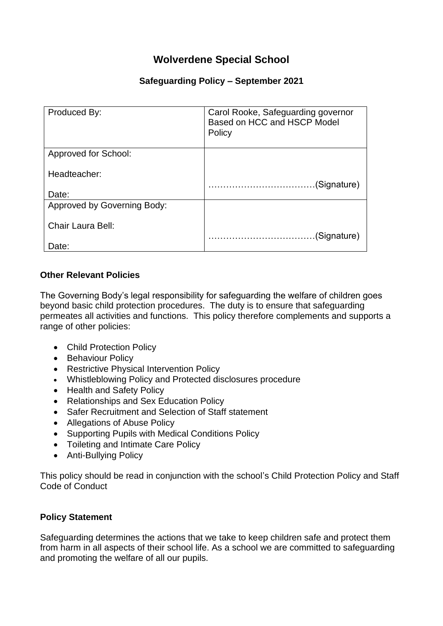# **Wolverdene Special School**

### **Safeguarding Policy – September 2021**

| Produced By:                | Carol Rooke, Safeguarding governor<br>Based on HCC and HSCP Model<br>Policy |
|-----------------------------|-----------------------------------------------------------------------------|
| Approved for School:        |                                                                             |
| Headteacher:                |                                                                             |
|                             | (Signature)                                                                 |
| Date:                       |                                                                             |
| Approved by Governing Body: |                                                                             |
| Chair Laura Bell:           |                                                                             |
| Date:                       | (Signature)                                                                 |

#### **Other Relevant Policies**

The Governing Body's legal responsibility for safeguarding the welfare of children goes beyond basic child protection procedures. The duty is to ensure that safeguarding permeates all activities and functions. This policy therefore complements and supports a range of other policies:

- Child Protection Policy
- Behaviour Policy
- Restrictive Physical Intervention Policy
- Whistleblowing Policy and Protected disclosures procedure
- Health and Safety Policy
- Relationships and Sex Education Policy
- Safer Recruitment and Selection of Staff statement
- Allegations of Abuse Policy
- Supporting Pupils with Medical Conditions Policy
- Toileting and Intimate Care Policy
- Anti-Bullying Policy

This policy should be read in conjunction with the school's Child Protection Policy and Staff Code of Conduct

#### **Policy Statement**

Safeguarding determines the actions that we take to keep children safe and protect them from harm in all aspects of their school life. As a school we are committed to safeguarding and promoting the welfare of all our pupils.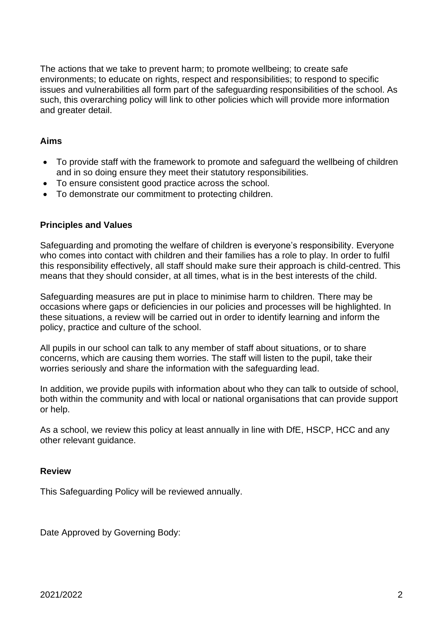The actions that we take to prevent harm; to promote wellbeing; to create safe environments; to educate on rights, respect and responsibilities; to respond to specific issues and vulnerabilities all form part of the safeguarding responsibilities of the school. As such, this overarching policy will link to other policies which will provide more information and greater detail.

#### **Aims**

- To provide staff with the framework to promote and safeguard the wellbeing of children and in so doing ensure they meet their statutory responsibilities.
- To ensure consistent good practice across the school.
- To demonstrate our commitment to protecting children.

#### **Principles and Values**

Safeguarding and promoting the welfare of children is everyone's responsibility. Everyone who comes into contact with children and their families has a role to play. In order to fulfil this responsibility effectively, all staff should make sure their approach is child-centred. This means that they should consider, at all times, what is in the best interests of the child.

Safeguarding measures are put in place to minimise harm to children. There may be occasions where gaps or deficiencies in our policies and processes will be highlighted. In these situations, a review will be carried out in order to identify learning and inform the policy, practice and culture of the school.

All pupils in our school can talk to any member of staff about situations, or to share concerns, which are causing them worries. The staff will listen to the pupil, take their worries seriously and share the information with the safeguarding lead.

In addition, we provide pupils with information about who they can talk to outside of school, both within the community and with local or national organisations that can provide support or help.

As a school, we review this policy at least annually in line with DfE, HSCP, HCC and any other relevant guidance.

#### **Review**

This Safeguarding Policy will be reviewed annually.

Date Approved by Governing Body: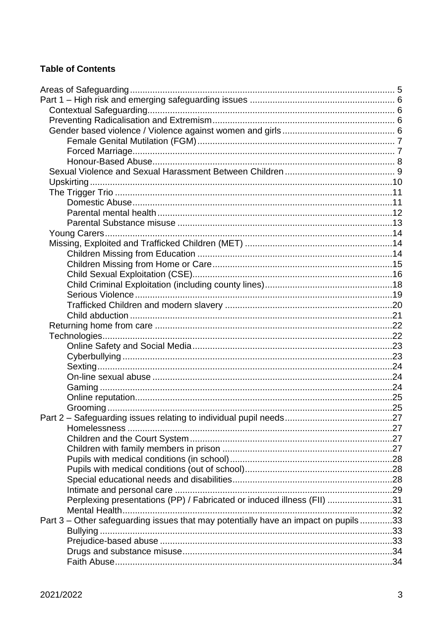# **Table of Contents**

| Perplexing presentations (PP) / Fabricated or induced illness (FII) 31             |  |
|------------------------------------------------------------------------------------|--|
|                                                                                    |  |
| Part 3 – Other safeguarding issues that may potentially have an impact on pupils33 |  |
| Bullying                                                                           |  |
|                                                                                    |  |
|                                                                                    |  |
|                                                                                    |  |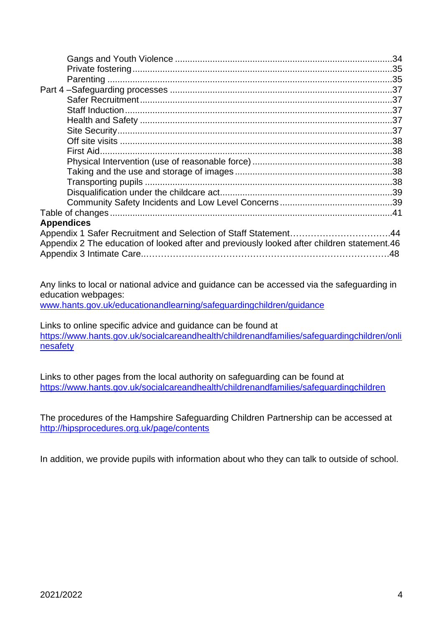| <b>Appendices</b>                                                                          |
|--------------------------------------------------------------------------------------------|
| Appendix 2 The education of looked after and previously looked after children statement.46 |

Any links to local or national advice and guidance can be accessed via the safeguarding in education webpages:

[www.hants.gov.uk/educationandlearning/safeguardingchildren/guidance](http://www.hants.gov.uk/educationandlearning/safeguardingchildren/guidance)

Links to online specific advice and guidance can be found at [https://www.hants.gov.uk/socialcareandhealth/childrenandfamilies/safeguardingchildren/onli](https://www.hants.gov.uk/socialcareandhealth/childrenandfamilies/safeguardingchildren/onlinesafety) [nesafety](https://www.hants.gov.uk/socialcareandhealth/childrenandfamilies/safeguardingchildren/onlinesafety)

Links to other pages from the local authority on safeguarding can be found at <https://www.hants.gov.uk/socialcareandhealth/childrenandfamilies/safeguardingchildren>

The procedures of the Hampshire Safeguarding Children Partnership can be accessed at <http://hipsprocedures.org.uk/page/contents>

In addition, we provide pupils with information about who they can talk to outside of school.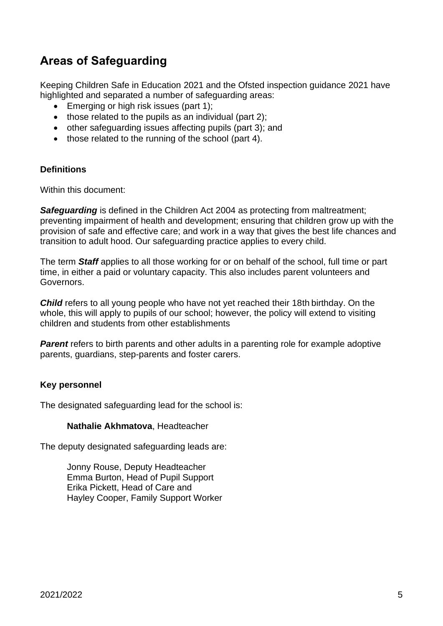# <span id="page-4-0"></span>**Areas of Safeguarding**

Keeping Children Safe in Education 2021 and the Ofsted inspection guidance 2021 have highlighted and separated a number of safeguarding areas:

- Emerging or high risk issues (part 1);
- those related to the pupils as an individual (part 2);
- other safeguarding issues affecting pupils (part 3); and
- those related to the running of the school (part 4).

#### **Definitions**

Within this document:

**Safeguarding** is defined in the Children Act 2004 as protecting from maltreatment; preventing impairment of health and development; ensuring that children grow up with the provision of safe and effective care; and work in a way that gives the best life chances and transition to adult hood. Our safeguarding practice applies to every child.

The term *Staff* applies to all those working for or on behalf of the school, full time or part time, in either a paid or voluntary capacity. This also includes parent volunteers and Governors.

*Child* refers to all young people who have not yet reached their 18th birthday. On the whole, this will apply to pupils of our school; however, the policy will extend to visiting children and students from other establishments

**Parent** refers to birth parents and other adults in a parenting role for example adoptive parents, guardians, step-parents and foster carers.

#### **Key personnel**

The designated safeguarding lead for the school is:

#### **Nathalie Akhmatova**, Headteacher

The deputy designated safeguarding leads are:

<span id="page-4-1"></span>Jonny Rouse, Deputy Headteacher Emma Burton, Head of Pupil Support Erika Pickett, Head of Care and Hayley Cooper, Family Support Worker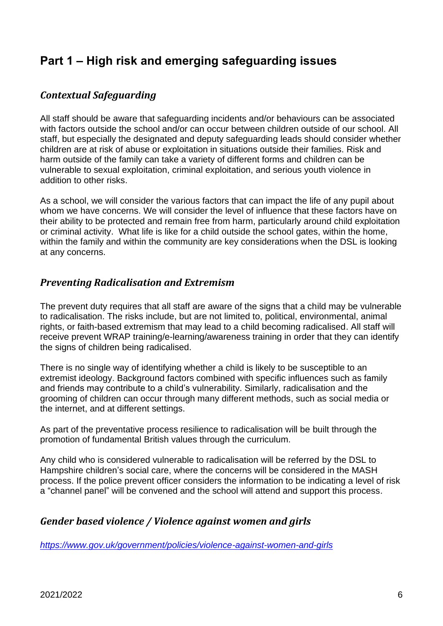# **Part 1 – High risk and emerging safeguarding issues**

# <span id="page-5-0"></span>*Contextual Safeguarding*

All staff should be aware that safeguarding incidents and/or behaviours can be associated with factors outside the school and/or can occur between children outside of our school. All staff, but especially the designated and deputy safeguarding leads should consider whether children are at risk of abuse or exploitation in situations outside their families. Risk and harm outside of the family can take a variety of different forms and children can be vulnerable to sexual exploitation, criminal exploitation, and serious youth violence in addition to other risks.

As a school, we will consider the various factors that can impact the life of any pupil about whom we have concerns. We will consider the level of influence that these factors have on their ability to be protected and remain free from harm, particularly around child exploitation or criminal activity. What life is like for a child outside the school gates, within the home, within the family and within the community are key considerations when the DSL is looking at any concerns.

# <span id="page-5-1"></span>*Preventing Radicalisation and Extremism*

The prevent duty requires that all staff are aware of the signs that a child may be vulnerable to radicalisation. The risks include, but are not limited to, political, environmental, animal rights, or faith-based extremism that may lead to a child becoming radicalised. All staff will receive prevent WRAP training/e-learning/awareness training in order that they can identify the signs of children being radicalised.

There is no single way of identifying whether a child is likely to be susceptible to an extremist ideology. Background factors combined with specific influences such as family and friends may contribute to a child's vulnerability. Similarly, radicalisation and the grooming of children can occur through many different methods, such as social media or the internet, and at different settings.

As part of the preventative process resilience to radicalisation will be built through the promotion of fundamental British values through the curriculum.

Any child who is considered vulnerable to radicalisation will be referred by the DSL to Hampshire children's social care, where the concerns will be considered in the MASH process. If the police prevent officer considers the information to be indicating a level of risk a "channel panel" will be convened and the school will attend and support this process.

# <span id="page-5-2"></span>*Gender based violence / Violence against women and girls*

*<https://www.gov.uk/government/policies/violence-against-women-and-girls>*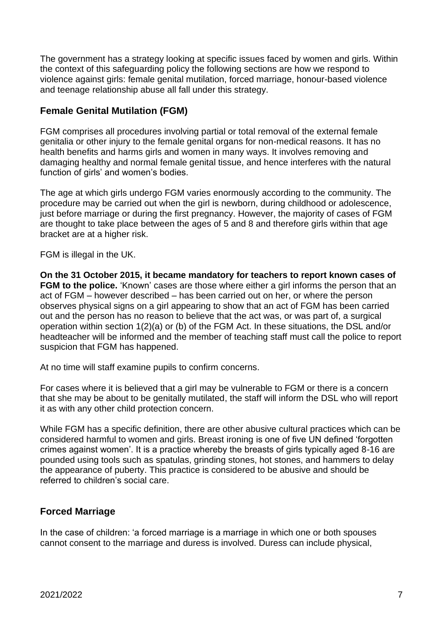The government has a strategy looking at specific issues faced by women and girls. Within the context of this safeguarding policy the following sections are how we respond to violence against girls: female genital mutilation, forced marriage, honour-based violence and teenage relationship abuse all fall under this strategy.

# <span id="page-6-0"></span>**Female Genital Mutilation (FGM)**

FGM comprises all procedures involving partial or total removal of the external female genitalia or other injury to the female genital organs for non-medical reasons. It has no health benefits and harms girls and women in many ways. It involves removing and damaging healthy and normal female genital tissue, and hence interferes with the natural function of girls' and women's bodies.

The age at which girls undergo FGM varies enormously according to the community. The procedure may be carried out when the girl is newborn, during childhood or adolescence, just before marriage or during the first pregnancy. However, the majority of cases of FGM are thought to take place between the ages of 5 and 8 and therefore girls within that age bracket are at a higher risk.

FGM is illegal in the UK.

**On the 31 October 2015, it became mandatory for teachers to report known cases of FGM to the police.** 'Known' cases are those where either a girl informs the person that an act of FGM – however described – has been carried out on her, or where the person observes physical signs on a girl appearing to show that an act of FGM has been carried out and the person has no reason to believe that the act was, or was part of, a surgical operation within section 1(2)(a) or (b) of the FGM Act. In these situations, the DSL and/or headteacher will be informed and the member of teaching staff must call the police to report suspicion that FGM has happened.

At no time will staff examine pupils to confirm concerns.

For cases where it is believed that a girl may be vulnerable to FGM or there is a concern that she may be about to be genitally mutilated, the staff will inform the DSL who will report it as with any other child protection concern.

While FGM has a specific definition, there are other abusive cultural practices which can be considered harmful to women and girls. Breast ironing is one of five UN defined 'forgotten crimes against women'. It is a practice whereby the breasts of girls typically aged 8-16 are pounded using tools such as spatulas, grinding stones, hot stones, and hammers to delay the appearance of puberty. This practice is considered to be abusive and should be referred to children's social care.

# <span id="page-6-1"></span>**Forced Marriage**

In the case of children: 'a forced marriage is a marriage in which one or both spouses cannot consent to the marriage and duress is involved. Duress can include physical,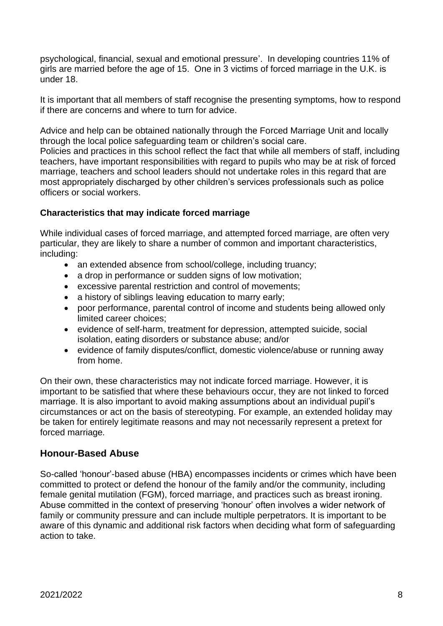psychological, financial, sexual and emotional pressure'. In developing countries 11% of girls are married before the age of 15. One in 3 victims of forced marriage in the U.K. is under 18.

It is important that all members of staff recognise the presenting symptoms, how to respond if there are concerns and where to turn for advice.

Advice and help can be obtained nationally through the Forced Marriage Unit and locally through the local police safeguarding team or children's social care.

Policies and practices in this school reflect the fact that while all members of staff, including teachers, have important responsibilities with regard to pupils who may be at risk of forced marriage, teachers and school leaders should not undertake roles in this regard that are most appropriately discharged by other children's services professionals such as police officers or social workers.

#### **Characteristics that may indicate forced marriage**

While individual cases of forced marriage, and attempted forced marriage, are often very particular, they are likely to share a number of common and important characteristics, including:

- an extended absence from school/college, including truancy;
- a drop in performance or sudden signs of low motivation;
- excessive parental restriction and control of movements;
- a history of siblings leaving education to marry early;
- poor performance, parental control of income and students being allowed only limited career choices;
- evidence of self-harm, treatment for depression, attempted suicide, social isolation, eating disorders or substance abuse; and/or
- evidence of family disputes/conflict, domestic violence/abuse or running away from home.

On their own, these characteristics may not indicate forced marriage. However, it is important to be satisfied that where these behaviours occur, they are not linked to forced marriage. It is also important to avoid making assumptions about an individual pupil's circumstances or act on the basis of stereotyping. For example, an extended holiday may be taken for entirely legitimate reasons and may not necessarily represent a pretext for forced marriage*.* 

### <span id="page-7-0"></span>**Honour-Based Abuse**

So-called 'honour'-based abuse (HBA) encompasses incidents or crimes which have been committed to protect or defend the honour of the family and/or the community, including female genital mutilation (FGM), forced marriage, and practices such as breast ironing. Abuse committed in the context of preserving 'honour' often involves a wider network of family or community pressure and can include multiple perpetrators. It is important to be aware of this dynamic and additional risk factors when deciding what form of safeguarding action to take.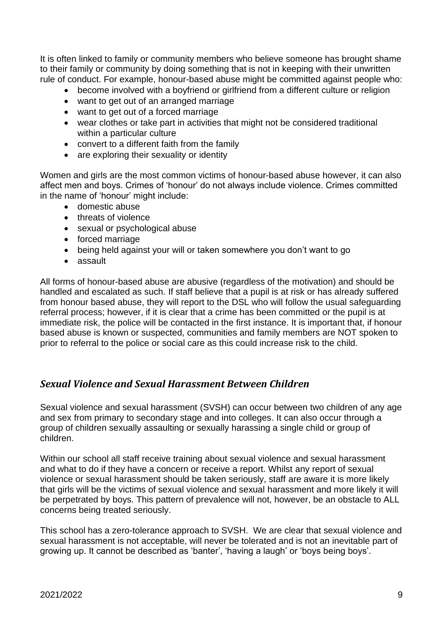It is often linked to family or community members who believe someone has brought shame to their family or community by doing something that is not in keeping with their unwritten rule of conduct. For example, honour-based abuse might be committed against people who:

- become involved with a boyfriend or girlfriend from a different culture or religion
- want to get out of an arranged marriage
- want to get out of a forced marriage
- wear clothes or take part in activities that might not be considered traditional within a particular culture
- convert to a different faith from the family
- are exploring their sexuality or identity

Women and girls are the most common victims of honour-based abuse however, it can also affect men and boys. Crimes of 'honour' do not always include violence. Crimes committed in the name of 'honour' might include:

- domestic abuse
- threats of violence
- sexual or psychological abuse
- forced marriage
- being held against your will or taken somewhere you don't want to go
- assault

All forms of honour-based abuse are abusive (regardless of the motivation) and should be handled and escalated as such. If staff believe that a pupil is at risk or has already suffered from honour based abuse, they will report to the DSL who will follow the usual safeguarding referral process; however, if it is clear that a crime has been committed or the pupil is at immediate risk, the police will be contacted in the first instance. It is important that, if honour based abuse is known or suspected, communities and family members are NOT spoken to prior to referral to the police or social care as this could increase risk to the child.

# <span id="page-8-0"></span>*Sexual Violence and Sexual Harassment Between Children*

Sexual violence and sexual harassment (SVSH) can occur between two children of any age and sex from primary to secondary stage and into colleges. It can also occur through a group of children sexually assaulting or sexually harassing a single child or group of children.

Within our school all staff receive training about sexual violence and sexual harassment and what to do if they have a concern or receive a report. Whilst any report of sexual violence or sexual harassment should be taken seriously, staff are aware it is more likely that girls will be the victims of sexual violence and sexual harassment and more likely it will be perpetrated by boys. This pattern of prevalence will not, however, be an obstacle to ALL concerns being treated seriously.

This school has a zero-tolerance approach to SVSH. We are clear that sexual violence and sexual harassment is not acceptable, will never be tolerated and is not an inevitable part of growing up. It cannot be described as 'banter', 'having a laugh' or 'boys being boys'.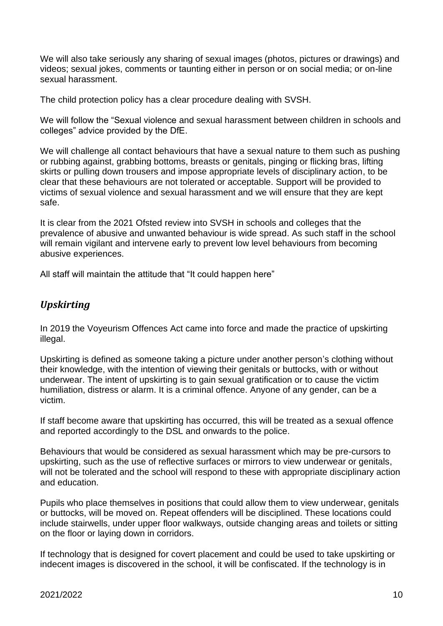We will also take seriously any sharing of sexual images (photos, pictures or drawings) and videos; sexual jokes, comments or taunting either in person or on social media; or on-line sexual harassment.

The child protection policy has a clear procedure dealing with SVSH.

We will follow the "Sexual violence and sexual harassment between children in schools and colleges" advice provided by the DfE.

We will challenge all contact behaviours that have a sexual nature to them such as pushing or rubbing against, grabbing bottoms, breasts or genitals, pinging or flicking bras, lifting skirts or pulling down trousers and impose appropriate levels of disciplinary action, to be clear that these behaviours are not tolerated or acceptable. Support will be provided to victims of sexual violence and sexual harassment and we will ensure that they are kept safe.

It is clear from the 2021 Ofsted review into SVSH in schools and colleges that the prevalence of abusive and unwanted behaviour is wide spread. As such staff in the school will remain vigilant and intervene early to prevent low level behaviours from becoming abusive experiences.

All staff will maintain the attitude that "It could happen here"

# <span id="page-9-0"></span>*Upskirting*

In 2019 the Voyeurism Offences Act came into force and made the practice of upskirting illegal.

Upskirting is defined as someone taking a picture under another person's clothing without their knowledge, with the intention of viewing their genitals or buttocks, with or without underwear. The intent of upskirting is to gain sexual gratification or to cause the victim humiliation, distress or alarm. It is a criminal offence. Anyone of any gender, can be a victim.

If staff become aware that upskirting has occurred, this will be treated as a sexual offence and reported accordingly to the DSL and onwards to the police.

Behaviours that would be considered as sexual harassment which may be pre-cursors to upskirting, such as the use of reflective surfaces or mirrors to view underwear or genitals, will not be tolerated and the school will respond to these with appropriate disciplinary action and education.

Pupils who place themselves in positions that could allow them to view underwear, genitals or buttocks, will be moved on. Repeat offenders will be disciplined. These locations could include stairwells, under upper floor walkways, outside changing areas and toilets or sitting on the floor or laying down in corridors.

If technology that is designed for covert placement and could be used to take upskirting or indecent images is discovered in the school, it will be confiscated. If the technology is in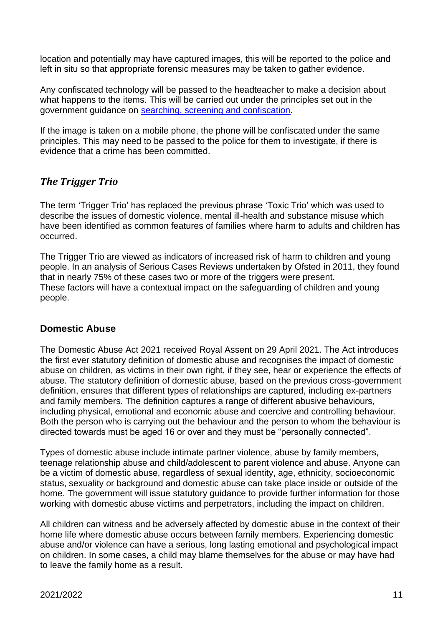location and potentially may have captured images, this will be reported to the police and left in situ so that appropriate forensic measures may be taken to gather evidence.

Any confiscated technology will be passed to the headteacher to make a decision about what happens to the items. This will be carried out under the principles set out in the government guidance on [searching, screening and confiscation.](https://assets.publishing.service.gov.uk/government/uploads/system/uploads/attachment_data/file/674416/Searching_screening_and_confiscation.pdf)

If the image is taken on a mobile phone, the phone will be confiscated under the same principles. This may need to be passed to the police for them to investigate, if there is evidence that a crime has been committed.

# <span id="page-10-0"></span>*The Trigger Trio*

The term 'Trigger Trio' has replaced the previous phrase 'Toxic Trio' which was used to describe the issues of domestic violence, mental ill-health and substance misuse which have been identified as common features of families where harm to adults and children has occurred.

The Trigger Trio are viewed as indicators of increased risk of harm to children and young people. In an analysis of Serious Cases Reviews undertaken by Ofsted in 2011, they found that in nearly 75% of these cases two or more of the triggers were present. These factors will have a contextual impact on the safeguarding of children and young people.

### <span id="page-10-1"></span>**Domestic Abuse**

The Domestic Abuse Act 2021 received Royal Assent on 29 April 2021. The Act introduces the first ever statutory definition of domestic abuse and recognises the impact of domestic abuse on children, as victims in their own right, if they see, hear or experience the effects of abuse. The statutory definition of domestic abuse, based on the previous cross-government definition, ensures that different types of relationships are captured, including ex-partners and family members. The definition captures a range of different abusive behaviours, including physical, emotional and economic abuse and coercive and controlling behaviour. Both the person who is carrying out the behaviour and the person to whom the behaviour is directed towards must be aged 16 or over and they must be "personally connected".

Types of domestic abuse include intimate partner violence, abuse by family members, teenage relationship abuse and child/adolescent to parent violence and abuse. Anyone can be a victim of domestic abuse, regardless of sexual identity, age, ethnicity, socioeconomic status, sexuality or background and domestic abuse can take place inside or outside of the home. The government will issue statutory guidance to provide further information for those working with domestic abuse victims and perpetrators, including the impact on children.

All children can witness and be adversely affected by domestic abuse in the context of their home life where domestic abuse occurs between family members. Experiencing domestic abuse and/or violence can have a serious, long lasting emotional and psychological impact on children. In some cases, a child may blame themselves for the abuse or may have had to leave the family home as a result.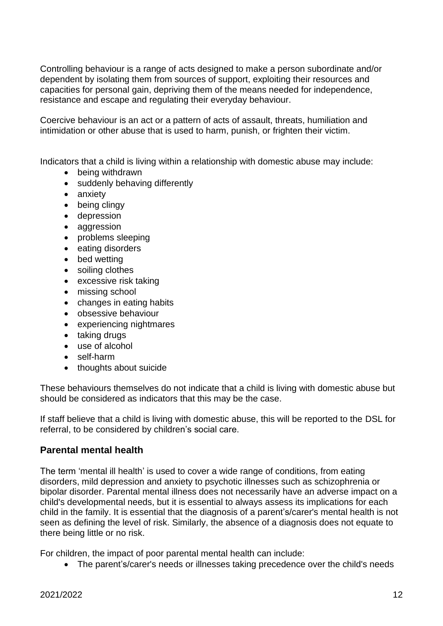Controlling behaviour is a range of acts designed to make a person subordinate and/or dependent by isolating them from sources of support, exploiting their resources and capacities for personal gain, depriving them of the means needed for independence, resistance and escape and regulating their everyday behaviour.

Coercive behaviour is an act or a pattern of acts of assault, threats, humiliation and intimidation or other abuse that is used to harm, punish, or frighten their victim.

Indicators that a child is living within a relationship with domestic abuse may include:

- being withdrawn
- suddenly behaving differently
- anxiety
- being clingy
- depression
- aggression
- problems sleeping
- eating disorders
- bed wetting
- soiling clothes
- excessive risk taking
- missing school
- changes in eating habits
- obsessive behaviour
- experiencing nightmares
- taking drugs
- use of alcohol
- self-harm
- thoughts about suicide

These behaviours themselves do not indicate that a child is living with domestic abuse but should be considered as indicators that this may be the case.

If staff believe that a child is living with domestic abuse, this will be reported to the DSL for referral, to be considered by children's social care.

#### <span id="page-11-0"></span>**Parental mental health**

The term 'mental ill health' is used to cover a wide range of conditions, from eating disorders, mild depression and anxiety to psychotic illnesses such as schizophrenia or bipolar disorder. Parental mental illness does not necessarily have an adverse impact on a child's developmental needs, but it is essential to always assess its implications for each child in the family. It is essential that the diagnosis of a parent's/carer's mental health is not seen as defining the level of risk. Similarly, the absence of a diagnosis does not equate to there being little or no risk.

For children, the impact of poor parental mental health can include:

• The parent's/carer's needs or illnesses taking precedence over the child's needs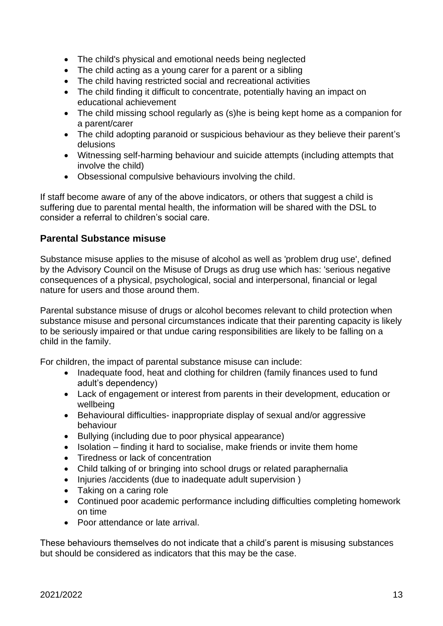- The child's physical and emotional needs being neglected
- The child acting as a young carer for a parent or a sibling
- The child having restricted social and recreational activities
- The child finding it difficult to concentrate, potentially having an impact on educational achievement
- The child missing school regularly as (s)he is being kept home as a companion for a parent/carer
- The child adopting paranoid or suspicious behaviour as they believe their parent's delusions
- Witnessing self-harming behaviour and suicide attempts (including attempts that involve the child)
- Obsessional compulsive behaviours involving the child.

If staff become aware of any of the above indicators, or others that suggest a child is suffering due to parental mental health, the information will be shared with the DSL to consider a referral to children's social care.

### <span id="page-12-0"></span>**Parental Substance misuse**

Substance misuse applies to the misuse of alcohol as well as 'problem drug use', defined by the Advisory Council on the Misuse of Drugs as drug use which has: 'serious negative consequences of a physical, psychological, social and interpersonal, financial or legal nature for users and those around them.

Parental substance misuse of drugs or alcohol becomes relevant to child protection when substance misuse and personal circumstances indicate that their parenting capacity is likely to be seriously impaired or that undue caring responsibilities are likely to be falling on a child in the family.

For children, the impact of parental substance misuse can include:

- Inadequate food, heat and clothing for children (family finances used to fund adult's dependency)
- Lack of engagement or interest from parents in their development, education or wellbeing
- Behavioural difficulties- inappropriate display of sexual and/or aggressive behaviour
- Bullying (including due to poor physical appearance)
- Isolation finding it hard to socialise, make friends or invite them home
- Tiredness or lack of concentration
- Child talking of or bringing into school drugs or related paraphernalia
- Injuries /accidents (due to inadequate adult supervision )
- Taking on a caring role
- Continued poor academic performance including difficulties completing homework on time
- Poor attendance or late arrival.

These behaviours themselves do not indicate that a child's parent is misusing substances but should be considered as indicators that this may be the case.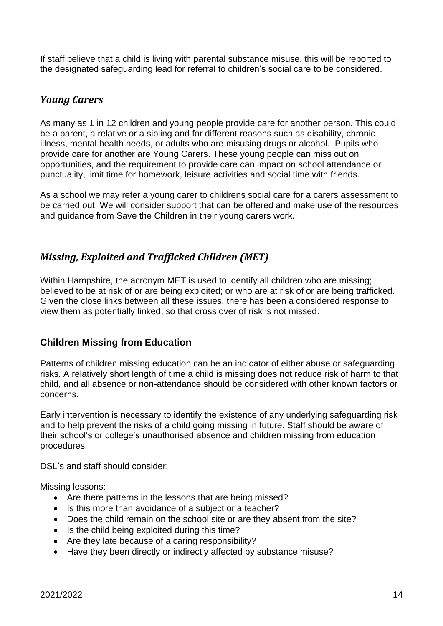If staff believe that a child is living with parental substance misuse, this will be reported to the designated safeguarding lead for referral to children's social care to be considered.

## <span id="page-13-0"></span>*Young Carers*

As many as 1 in 12 children and young people provide care for another person. This could be a parent, a relative or a sibling and for different reasons such as disability, chronic illness, mental health needs, or adults who are misusing drugs or alcohol. Pupils who provide care for another are Young Carers. These young people can miss out on opportunities, and the requirement to provide care can impact on school attendance or punctuality, limit time for homework, leisure activities and social time with friends.

As a school we may refer a young carer to childrens social care for a carers assessment to be carried out. We will consider support that can be offered and make use of the resources and guidance from Save the Children in their young carers work.

# <span id="page-13-1"></span>*Missing, Exploited and Trafficked Children (MET)*

Within Hampshire, the acronym MET is used to identify all children who are missing; believed to be at risk of or are being exploited; or who are at risk of or are being trafficked. Given the close links between all these issues, there has been a considered response to view them as potentially linked, so that cross over of risk is not missed.

### <span id="page-13-2"></span>**Children Missing from Education**

Patterns of children missing education can be an indicator of either abuse or safeguarding risks. A relatively short length of time a child is missing does not reduce risk of harm to that child, and all absence or non-attendance should be considered with other known factors or concerns.

Early intervention is necessary to identify the existence of any underlying safeguarding risk and to help prevent the risks of a child going missing in future. Staff should be aware of their school's or college's unauthorised absence and children missing from education procedures.

DSL's and staff should consider:

Missing lessons:

- Are there patterns in the lessons that are being missed?
- Is this more than avoidance of a subject or a teacher?
- Does the child remain on the school site or are they absent from the site?
- Is the child being exploited during this time?
- Are they late because of a caring responsibility?
- Have they been directly or indirectly affected by substance misuse?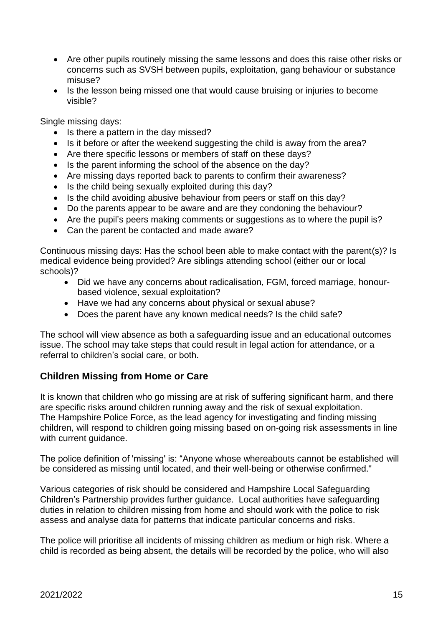- Are other pupils routinely missing the same lessons and does this raise other risks or concerns such as SVSH between pupils, exploitation, gang behaviour or substance misuse?
- Is the lesson being missed one that would cause bruising or injuries to become visible?

Single missing days:

- Is there a pattern in the day missed?
- Is it before or after the weekend suggesting the child is away from the area?
- Are there specific lessons or members of staff on these days?
- Is the parent informing the school of the absence on the day?
- Are missing days reported back to parents to confirm their awareness?
- Is the child being sexually exploited during this day?
- Is the child avoiding abusive behaviour from peers or staff on this day?
- Do the parents appear to be aware and are they condoning the behaviour?
- Are the pupil's peers making comments or suggestions as to where the pupil is?
- Can the parent be contacted and made aware?

Continuous missing days: Has the school been able to make contact with the parent(s)? Is medical evidence being provided? Are siblings attending school (either our or local schools)?

- Did we have any concerns about radicalisation, FGM, forced marriage, honourbased violence, sexual exploitation?
- Have we had any concerns about physical or sexual abuse?
- Does the parent have any known medical needs? Is the child safe?

The school will view absence as both a safeguarding issue and an educational outcomes issue. The school may take steps that could result in legal action for attendance, or a referral to children's social care, or both.

### <span id="page-14-0"></span>**Children Missing from Home or Care**

It is known that children who go missing are at risk of suffering significant harm, and there are specific risks around children running away and the risk of sexual exploitation. The Hampshire Police Force, as the lead agency for investigating and finding missing children, will respond to children going missing based on on-going risk assessments in line with current guidance.

The police definition of 'missing' is: "Anyone whose whereabouts cannot be established will be considered as missing until located, and their well-being or otherwise confirmed."

Various categories of risk should be considered and Hampshire Local Safeguarding Children's Partnership provides further guidance. Local authorities have safeguarding duties in relation to children missing from home and should work with the police to risk assess and analyse data for patterns that indicate particular concerns and risks.

The police will prioritise all incidents of missing children as medium or high risk. Where a child is recorded as being absent, the details will be recorded by the police, who will also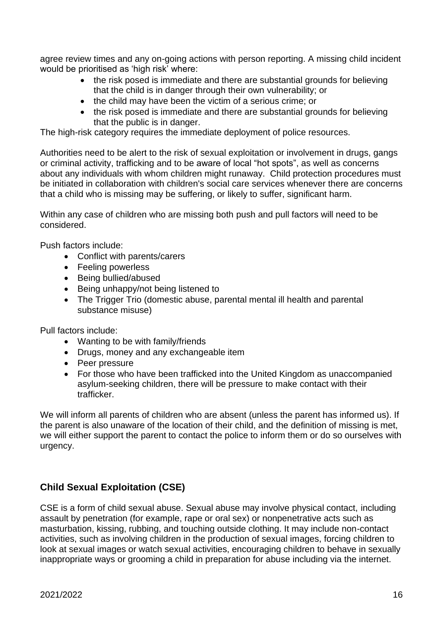agree review times and any on-going actions with person reporting. A missing child incident would be prioritised as 'high risk' where:

- the risk posed is immediate and there are substantial grounds for believing that the child is in danger through their own vulnerability; or
- the child may have been the victim of a serious crime; or
- the risk posed is immediate and there are substantial grounds for believing that the public is in danger.

The high-risk category requires the immediate deployment of police resources.

Authorities need to be alert to the risk of sexual exploitation or involvement in drugs, gangs or criminal activity, trafficking and to be aware of local "hot spots", as well as concerns about any individuals with whom children might runaway. Child protection procedures must be initiated in collaboration with children's social care services whenever there are concerns that a child who is missing may be suffering, or likely to suffer, significant harm.

Within any case of children who are missing both push and pull factors will need to be considered.

Push factors include:

- Conflict with parents/carers
- Feeling powerless
- Being bullied/abused
- Being unhappy/not being listened to
- The Trigger Trio (domestic abuse, parental mental ill health and parental substance misuse)

Pull factors include:

- Wanting to be with family/friends
- Drugs, money and any exchangeable item
- Peer pressure
- For those who have been trafficked into the United Kingdom as unaccompanied asylum-seeking children, there will be pressure to make contact with their trafficker.

We will inform all parents of children who are absent (unless the parent has informed us). If the parent is also unaware of the location of their child, and the definition of missing is met, we will either support the parent to contact the police to inform them or do so ourselves with urgency.

# <span id="page-15-0"></span>**Child Sexual Exploitation (CSE)**

CSE is a form of child sexual abuse. Sexual abuse may involve physical contact, including assault by penetration (for example, rape or oral sex) or nonpenetrative acts such as masturbation, kissing, rubbing, and touching outside clothing. It may include non-contact activities, such as involving children in the production of sexual images, forcing children to look at sexual images or watch sexual activities, encouraging children to behave in sexually inappropriate ways or grooming a child in preparation for abuse including via the internet.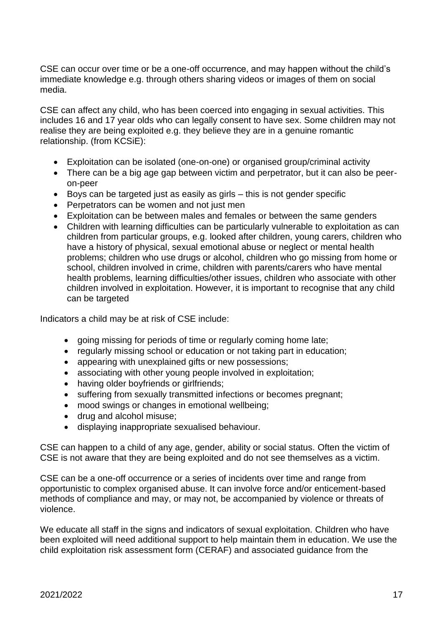CSE can occur over time or be a one-off occurrence, and may happen without the child's immediate knowledge e.g. through others sharing videos or images of them on social media.

CSE can affect any child, who has been coerced into engaging in sexual activities. This includes 16 and 17 year olds who can legally consent to have sex. Some children may not realise they are being exploited e.g. they believe they are in a genuine romantic relationship. (from KCSiE):

- Exploitation can be isolated (one-on-one) or organised group/criminal activity
- There can be a big age gap between victim and perpetrator, but it can also be peeron-peer
- Boys can be targeted just as easily as girls this is not gender specific
- Perpetrators can be women and not just men
- Exploitation can be between males and females or between the same genders
- Children with learning difficulties can be particularly vulnerable to exploitation as can children from particular groups, e.g. looked after children, young carers, children who have a history of physical, sexual emotional abuse or neglect or mental health problems; children who use drugs or alcohol, children who go missing from home or school, children involved in crime, children with parents/carers who have mental health problems, learning difficulties/other issues, children who associate with other children involved in exploitation. However, it is important to recognise that any child can be targeted

Indicators a child may be at risk of CSE include:

- going missing for periods of time or regularly coming home late;
- regularly missing school or education or not taking part in education;
- appearing with unexplained gifts or new possessions;
- associating with other young people involved in exploitation;
- having older boyfriends or girlfriends;
- suffering from sexually transmitted infections or becomes pregnant;
- mood swings or changes in emotional wellbeing;
- drug and alcohol misuse;
- displaying inappropriate sexualised behaviour.

CSE can happen to a child of any age, gender, ability or social status. Often the victim of CSE is not aware that they are being exploited and do not see themselves as a victim.

CSE can be a one-off occurrence or a series of incidents over time and range from opportunistic to complex organised abuse. It can involve force and/or enticement-based methods of compliance and may, or may not, be accompanied by violence or threats of violence.

We educate all staff in the signs and indicators of sexual exploitation. Children who have been exploited will need additional support to help maintain them in education. We use the child exploitation risk assessment form [\(CERAF\)](http://www.hampshiresafeguardingchildrenboard.org.uk/user_controlled_lcms_area/uploaded_files/SERAF%20Risk%20Assessment%20Form%20UPDATED%20Sept%202015%20%282%29.doc) and [associated guidance](http://www.hampshiresafeguardingchildrenboard.org.uk/user_controlled_lcms_area/uploaded_files/SERAF%20Risk%20Assessment%20-%20Scoring%20Guidance_%28HF000005713337%29.doc) from the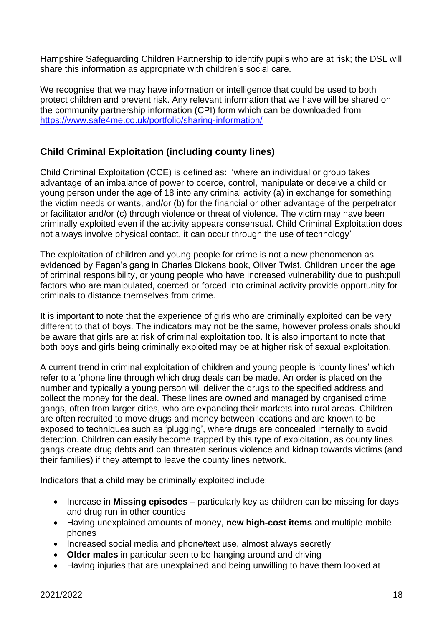Hampshire Safeguarding Children Partnership to identify pupils who are at risk; the DSL will share this information as appropriate with children's social care.

We recognise that we may have information or intelligence that could be used to both protect children and prevent risk. Any relevant information that we have will be shared on the community partnership information (CPI) form which can be downloaded from <https://www.safe4me.co.uk/portfolio/sharing-information/>

# <span id="page-17-0"></span>**Child Criminal Exploitation (including county lines)**

Child Criminal Exploitation (CCE) is defined as: 'where an individual or group takes advantage of an imbalance of power to coerce, control, manipulate or deceive a child or young person under the age of 18 into any criminal activity (a) in exchange for something the victim needs or wants, and/or (b) for the financial or other advantage of the perpetrator or facilitator and/or (c) through violence or threat of violence. The victim may have been criminally exploited even if the activity appears consensual. Child Criminal Exploitation does not always involve physical contact, it can occur through the use of technology'

The exploitation of children and young people for crime is not a new phenomenon as evidenced by Fagan's gang in Charles Dickens book, Oliver Twist. Children under the age of criminal responsibility, or young people who have increased vulnerability due to push:pull factors who are manipulated, coerced or forced into criminal activity provide opportunity for criminals to distance themselves from crime.

It is important to note that the experience of girls who are criminally exploited can be very different to that of boys. The indicators may not be the same, however professionals should be aware that girls are at risk of criminal exploitation too. It is also important to note that both boys and girls being criminally exploited may be at higher risk of sexual exploitation.

A current trend in criminal exploitation of children and young people is 'county lines' which refer to a 'phone line through which drug deals can be made. An order is placed on the number and typically a young person will deliver the drugs to the specified address and collect the money for the deal. These lines are owned and managed by organised crime gangs, often from larger cities, who are expanding their markets into rural areas. Children are often recruited to move drugs and money between locations and are known to be exposed to techniques such as 'plugging', where drugs are concealed internally to avoid detection. Children can easily become trapped by this type of exploitation, as county lines gangs create drug debts and can threaten serious violence and kidnap towards victims (and their families) if they attempt to leave the county lines network.

Indicators that a child may be criminally exploited include:

- Increase in **Missing episodes**  particularly key as children can be missing for days and drug run in other counties
- Having unexplained amounts of money, **new high-cost items** and multiple mobile phones
- Increased social media and phone/text use, almost always secretly
- **Older males** in particular seen to be hanging around and driving
- Having injuries that are unexplained and being unwilling to have them looked at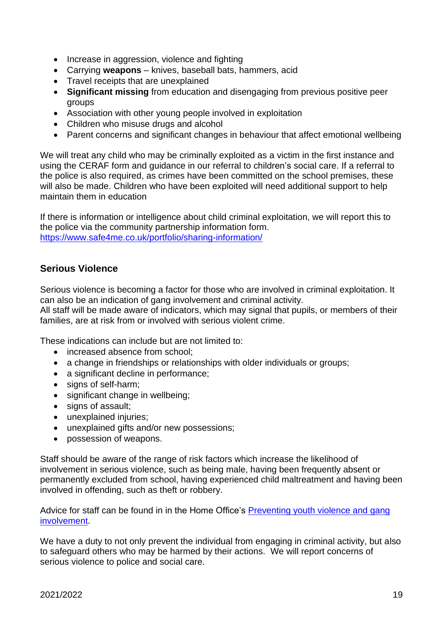- Increase in aggression, violence and fighting
- Carrying **weapons** knives, baseball bats, hammers, acid
- Travel receipts that are unexplained
- **Significant missing** from education and disengaging from previous positive peer groups
- Association with other young people involved in exploitation
- Children who misuse drugs and alcohol
- Parent concerns and significant changes in behaviour that affect emotional wellbeing

We will treat any child who may be criminally exploited as a victim in the first instance and using the CERAF form and guidance in our referral to children's social care. If a referral to the police is also required, as crimes have been committed on the school premises, these will also be made. Children who have been exploited will need additional support to help maintain them in education

If there is information or intelligence about child criminal exploitation, we will report this to the police via the community partnership information form. <https://www.safe4me.co.uk/portfolio/sharing-information/>

### <span id="page-18-0"></span>**Serious Violence**

Serious violence is becoming a factor for those who are involved in criminal exploitation. It can also be an indication of gang involvement and criminal activity.

All staff will be made aware of indicators, which may signal that pupils, or members of their families, are at risk from or involved with serious violent crime.

These indications can include but are not limited to:

- increased absence from school;
- a change in friendships or relationships with older individuals or groups;
- a significant decline in performance;
- signs of self-harm;
- significant change in wellbeing;
- signs of assault;
- unexplained injuries;
- unexplained gifts and/or new possessions;
- possession of weapons.

Staff should be aware of the range of risk factors which increase the likelihood of involvement in serious violence, such as being male, having been frequently absent or permanently excluded from school, having experienced child maltreatment and having been involved in offending, such as theft or robbery.

Advice for staff can be found in in the Home Office's [Preventing youth violence and gang](https://www.gov.uk/government/publications/advice-to-schools-and-colleges-on-gangs-and-youth-violence)  [involvement.](https://www.gov.uk/government/publications/advice-to-schools-and-colleges-on-gangs-and-youth-violence)

We have a duty to not only prevent the individual from engaging in criminal activity, but also to safeguard others who may be harmed by their actions. We will report concerns of serious violence to police and social care.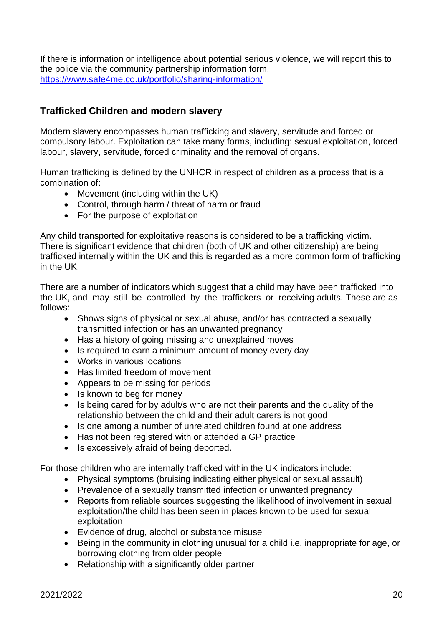If there is information or intelligence about potential serious violence, we will report this to the police via the community partnership information form. <https://www.safe4me.co.uk/portfolio/sharing-information/>

# <span id="page-19-0"></span>**Trafficked Children and modern slavery**

Modern slavery encompasses human trafficking and slavery, servitude and forced or compulsory labour. Exploitation can take many forms, including: sexual exploitation, forced labour, slavery, servitude, forced criminality and the removal of organs.

Human trafficking is defined by the UNHCR in respect of children as a process that is a combination of:

- Movement (including within the UK)
- Control, through harm / threat of harm or fraud
- For the purpose of exploitation

Any child transported for exploitative reasons is considered to be a trafficking victim. There is significant evidence that children (both of UK and other citizenship) are being trafficked internally within the UK and this is regarded as a more common form of trafficking in the UK.

There are a number of indicators which suggest that a child may have been trafficked into the UK, and may still be controlled by the traffickers or receiving adults. These are as follows:

- Shows signs of physical or sexual abuse, and/or has contracted a sexually transmitted infection or has an unwanted pregnancy
- Has a history of going missing and unexplained moves
- Is required to earn a minimum amount of money every day
- Works in various locations
- Has limited freedom of movement
- Appears to be missing for periods
- Is known to beg for money
- Is being cared for by adult/s who are not their parents and the quality of the relationship between the child and their adult carers is not good
- Is one among a number of unrelated children found at one address
- Has not been registered with or attended a GP practice
- Is excessively afraid of being deported.

For those children who are internally trafficked within the UK indicators include:

- Physical symptoms (bruising indicating either physical or sexual assault)
- Prevalence of a sexually transmitted infection or unwanted pregnancy
- Reports from reliable sources suggesting the likelihood of involvement in sexual exploitation/the child has been seen in places known to be used for sexual exploitation
- Evidence of drug, alcohol or substance misuse
- Being in the community in clothing unusual for a child i.e. inappropriate for age, or borrowing clothing from older people
- Relationship with a significantly older partner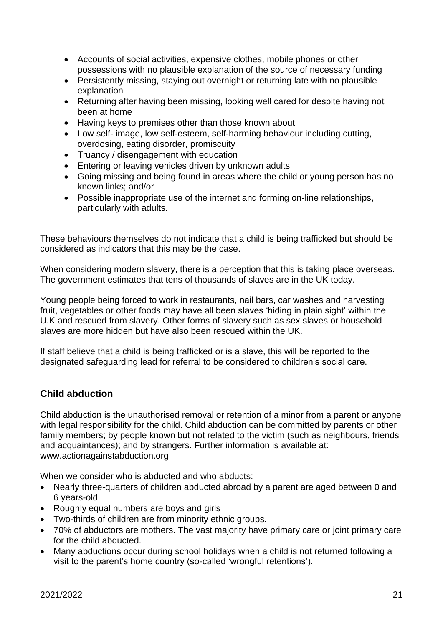- Accounts of social activities, expensive clothes, mobile phones or other possessions with no plausible explanation of the source of necessary funding
- Persistently missing, staying out overnight or returning late with no plausible explanation
- Returning after having been missing, looking well cared for despite having not been at home
- Having keys to premises other than those known about
- Low self- image, low self-esteem, self-harming behaviour including cutting, overdosing, eating disorder, promiscuity
- Truancy / disengagement with education
- Entering or leaving vehicles driven by unknown adults
- Going missing and being found in areas where the child or young person has no known links; and/or
- Possible inappropriate use of the internet and forming on-line relationships, particularly with adults.

These behaviours themselves do not indicate that a child is being trafficked but should be considered as indicators that this may be the case.

When considering modern slavery, there is a perception that this is taking place overseas. The government estimates that tens of thousands of slaves are in the UK today.

Young people being forced to work in restaurants, nail bars, car washes and harvesting fruit, vegetables or other foods may have all been slaves 'hiding in plain sight' within the U.K and rescued from slavery. Other forms of slavery such as sex slaves or household slaves are more hidden but have also been rescued within the UK.

If staff believe that a child is being trafficked or is a slave, this will be reported to the designated safeguarding lead for referral to be considered to children's social care.

# <span id="page-20-0"></span>**Child abduction**

Child abduction is the unauthorised removal or retention of a minor from a parent or anyone with legal responsibility for the child. Child abduction can be committed by parents or other family members; by people known but not related to the victim (such as neighbours, friends and acquaintances); and by strangers. Further information is available at: www.actionagainstabduction.org

When we consider who is abducted and who abducts:

- Nearly three-quarters of children abducted abroad by a parent are aged between 0 and 6 years-old
- Roughly equal numbers are boys and girls
- Two-thirds of children are from minority ethnic groups.
- 70% of abductors are mothers. The vast majority have primary care or joint primary care for the child abducted.
- Many abductions occur during school holidays when a child is not returned following a visit to the parent's home country (so-called 'wrongful retentions').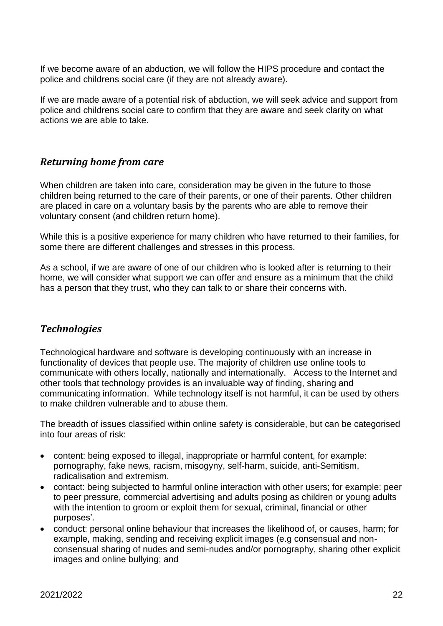If we become aware of an abduction, we will follow the HIPS procedure and contact the police and childrens social care (if they are not already aware).

If we are made aware of a potential risk of abduction, we will seek advice and support from police and childrens social care to confirm that they are aware and seek clarity on what actions we are able to take.

# <span id="page-21-0"></span>*Returning home from care*

When children are taken into care, consideration may be given in the future to those children being returned to the care of their parents, or one of their parents. Other children are placed in care on a voluntary basis by the parents who are able to remove their voluntary consent (and children return home).

While this is a positive experience for many children who have returned to their families, for some there are different challenges and stresses in this process.

As a school, if we are aware of one of our children who is looked after is returning to their home, we will consider what support we can offer and ensure as a minimum that the child has a person that they trust, who they can talk to or share their concerns with.

# <span id="page-21-1"></span>*Technologies*

Technological hardware and software is developing continuously with an increase in functionality of devices that people use. The majority of children use online tools to communicate with others locally, nationally and internationally. Access to the Internet and other tools that technology provides is an invaluable way of finding, sharing and communicating information. While technology itself is not harmful, it can be used by others to make children vulnerable and to abuse them.

The breadth of issues classified within online safety is considerable, but can be categorised into four areas of risk:

- content: being exposed to illegal, inappropriate or harmful content, for example: pornography, fake news, racism, misogyny, self-harm, suicide, anti-Semitism, radicalisation and extremism.
- contact: being subjected to harmful online interaction with other users; for example: peer to peer pressure, commercial advertising and adults posing as children or young adults with the intention to groom or exploit them for sexual, criminal, financial or other purposes'.
- conduct: personal online behaviour that increases the likelihood of, or causes, harm; for example, making, sending and receiving explicit images (e.g consensual and nonconsensual sharing of nudes and semi-nudes and/or pornography, sharing other explicit images and online bullying; and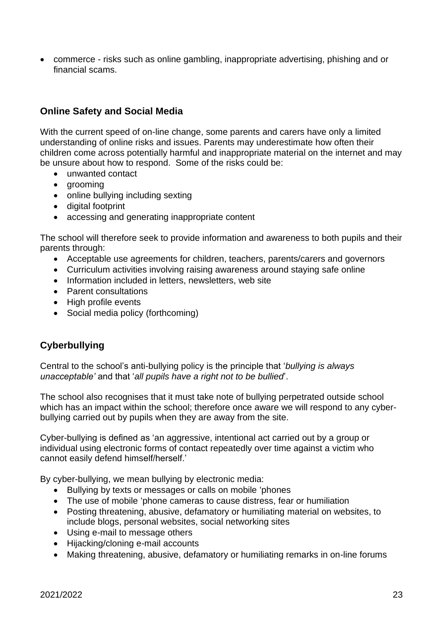• commerce - risks such as online gambling, inappropriate advertising, phishing and or financial scams.

## <span id="page-22-0"></span>**Online Safety and Social Media**

With the current speed of on-line change, some parents and carers have only a limited understanding of online risks and issues. Parents may underestimate how often their children come across potentially harmful and inappropriate material on the internet and may be unsure about how to respond. Some of the risks could be:

- unwanted contact
- grooming
- online bullying including sexting
- digital footprint
- accessing and generating inappropriate content

The school will therefore seek to provide information and awareness to both pupils and their parents through:

- Acceptable use agreements for children, teachers, parents/carers and governors
- Curriculum activities involving raising awareness around staying safe online
- Information included in letters, newsletters, web site
- Parent consultations
- High profile events
- Social media policy (forthcoming)

# <span id="page-22-1"></span>**Cyberbullying**

Central to the school's anti-bullying policy is the principle that '*bullying is always unacceptable'* and that '*all pupils have a right not to be bullied*'.

The school also recognises that it must take note of bullying perpetrated outside school which has an impact within the school; therefore once aware we will respond to any cyberbullying carried out by pupils when they are away from the site.

Cyber-bullying is defined as 'an aggressive, intentional act carried out by a group or individual using electronic forms of contact repeatedly over time against a victim who cannot easily defend himself/herself.'

By cyber-bullying, we mean bullying by electronic media:

- Bullying by texts or messages or calls on mobile 'phones
- The use of mobile 'phone cameras to cause distress, fear or humiliation
- Posting threatening, abusive, defamatory or humiliating material on websites, to include blogs, personal websites, social networking sites
- Using e-mail to message others
- Hijacking/cloning e-mail accounts
- Making threatening, abusive, defamatory or humiliating remarks in on-line forums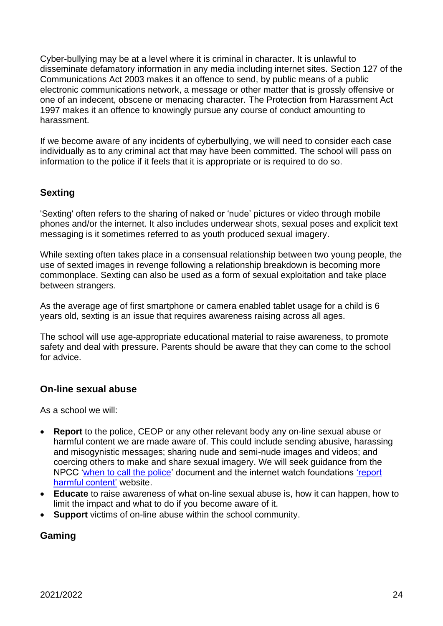Cyber-bullying may be at a level where it is criminal in character. It is unlawful to disseminate defamatory information in any media including internet sites. Section 127 of the Communications Act 2003 makes it an offence to send, by public means of a public electronic communications network, a message or other matter that is grossly offensive or one of an indecent, obscene or menacing character. The Protection from Harassment Act 1997 makes it an offence to knowingly pursue any course of conduct amounting to harassment.

If we become aware of any incidents of cyberbullying, we will need to consider each case individually as to any criminal act that may have been committed. The school will pass on information to the police if it feels that it is appropriate or is required to do so.

# <span id="page-23-0"></span>**Sexting**

'Sexting' often refers to the sharing of naked or 'nude' pictures or video through mobile phones and/or the internet. It also includes underwear shots, sexual poses and explicit text messaging is it sometimes referred to as youth produced sexual imagery.

While sexting often takes place in a consensual relationship between two young people, the use of sexted images in revenge following a relationship breakdown is becoming more commonplace. Sexting can also be used as a form of sexual exploitation and take place between strangers.

As the average age of first smartphone or camera enabled tablet usage for a child is 6 years old, sexting is an issue that requires awareness raising across all ages.

The school will use age-appropriate educational material to raise awareness, to promote safety and deal with pressure. Parents should be aware that they can come to the school for advice.

# <span id="page-23-1"></span>**On-line sexual abuse**

As a school we will:

- **Report** to the police, CEOP or any other relevant body any on-line sexual abuse or harmful content we are made aware of. This could include sending abusive, harassing and misogynistic messages; sharing nude and semi-nude images and videos; and coercing others to make and share sexual imagery. We will seek guidance from the NPCC ['when to call the police'](https://www.npcc.police.uk/documents/Children%20and%20Young%20people/When%20to%20call%20the%20police%20guidance%20for%20schools%20and%20colleges.pdf) document and the internet watch foundations ['report](https://reportharmfulcontent.com/?lang=en)  [harmful content'](https://reportharmfulcontent.com/?lang=en) website.
- **Educate** to raise awareness of what on-line sexual abuse is, how it can happen, how to limit the impact and what to do if you become aware of it.
- **Support** victims of on-line abuse within the school community.

### <span id="page-23-2"></span>**Gaming**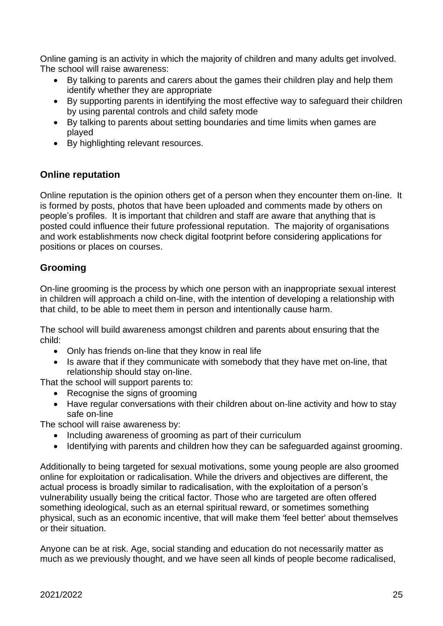Online gaming is an activity in which the majority of children and many adults get involved. The school will raise awareness:

- By talking to parents and carers about the games their children play and help them identify whether they are appropriate
- By supporting parents in identifying the most effective way to safeguard their children by using parental controls and child safety mode
- By talking to parents about setting boundaries and time limits when games are played
- By highlighting relevant resources.

# <span id="page-24-0"></span>**Online reputation**

Online reputation is the opinion others get of a person when they encounter them on-line. It is formed by posts, photos that have been uploaded and comments made by others on people's profiles. It is important that children and staff are aware that anything that is posted could influence their future professional reputation. The majority of organisations and work establishments now check digital footprint before considering applications for positions or places on courses.

# <span id="page-24-1"></span>**Grooming**

On-line grooming is the process by which one person with an inappropriate sexual interest in children will approach a child on-line, with the intention of developing a relationship with that child, to be able to meet them in person and intentionally cause harm.

The school will build awareness amongst children and parents about ensuring that the child:

- Only has friends on-line that they know in real life
- Is aware that if they communicate with somebody that they have met on-line, that relationship should stay on-line.

That the school will support parents to:

- Recognise the signs of grooming
- Have regular conversations with their children about on-line activity and how to stay safe on-line

The school will raise awareness by:

- Including awareness of grooming as part of their curriculum
- Identifying with parents and children how they can be safeguarded against grooming.

Additionally to being targeted for sexual motivations, some young people are also groomed online for exploitation or radicalisation. While the drivers and objectives are different, the actual process is broadly similar to radicalisation, with the exploitation of a person's vulnerability usually being the critical factor. Those who are targeted are often offered something ideological, such as an eternal spiritual reward, or sometimes something physical, such as an economic incentive, that will make them 'feel better' about themselves or their situation.

Anyone can be at risk. Age, social standing and education do not necessarily matter as much as we previously thought, and we have seen all kinds of people become radicalised,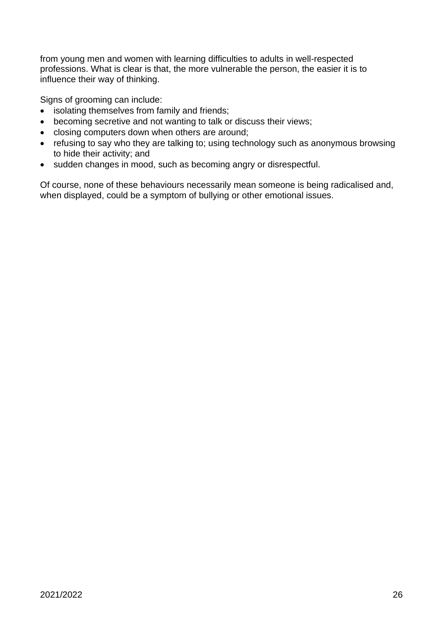from young men and women with learning difficulties to adults in well-respected professions. What is clear is that, the more vulnerable the person, the easier it is to influence their way of thinking.

Signs of grooming can include:

- isolating themselves from family and friends;
- becoming secretive and not wanting to talk or discuss their views;
- closing computers down when others are around;
- refusing to say who they are talking to; using technology such as anonymous browsing to hide their activity; and
- sudden changes in mood, such as becoming angry or disrespectful.

Of course, none of these behaviours necessarily mean someone is being radicalised and, when displayed, could be a symptom of bullying or other emotional issues.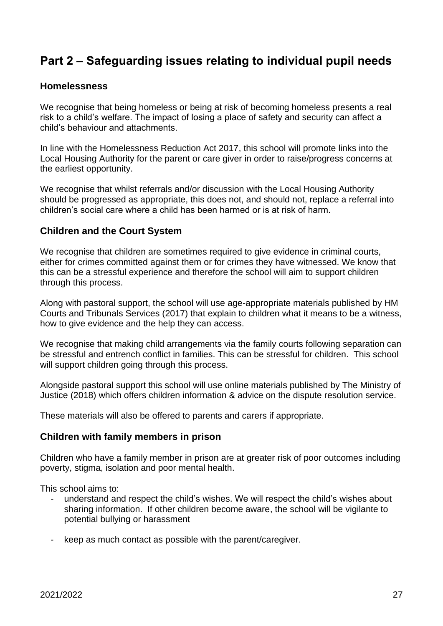# <span id="page-26-0"></span>**Part 2 – Safeguarding issues relating to individual pupil needs**

#### <span id="page-26-1"></span>**Homelessness**

We recognise that being homeless or being at risk of becoming homeless presents a real risk to a child's welfare. The impact of losing a place of safety and security can affect a child's behaviour and attachments.

In line with the Homelessness Reduction Act 2017, this school will promote links into the Local Housing Authority for the parent or care giver in order to raise/progress concerns at the earliest opportunity.

We recognise that whilst referrals and/or discussion with the Local Housing Authority should be progressed as appropriate, this does not, and should not, replace a referral into children's social care where a child has been harmed or is at risk of harm.

### <span id="page-26-2"></span>**Children and the Court System**

We recognise that children are sometimes required to give evidence in criminal courts, either for crimes committed against them or for crimes they have witnessed. We know that this can be a stressful experience and therefore the school will aim to support children through this process.

Along with pastoral support, the school will use age-appropriate materials published by HM Courts and Tribunals Services (2017) that explain to children what it means to be a witness, how to give evidence and the help they can access.

We recognise that making child arrangements via the family courts following separation can be stressful and entrench conflict in families. This can be stressful for children. This school will support children going through this process.

Alongside pastoral support this school will use online materials published by The Ministry of Justice (2018) which offers children information & advice on the dispute resolution service.

These materials will also be offered to parents and carers if appropriate.

#### <span id="page-26-3"></span>**Children with family members in prison**

Children who have a family member in prison are at greater risk of poor outcomes including poverty, stigma, isolation and poor mental health.

This school aims to:

- understand and respect the child's wishes. We will respect the child's wishes about sharing information. If other children become aware, the school will be vigilante to potential bullying or harassment
- keep as much contact as possible with the parent/caregiver.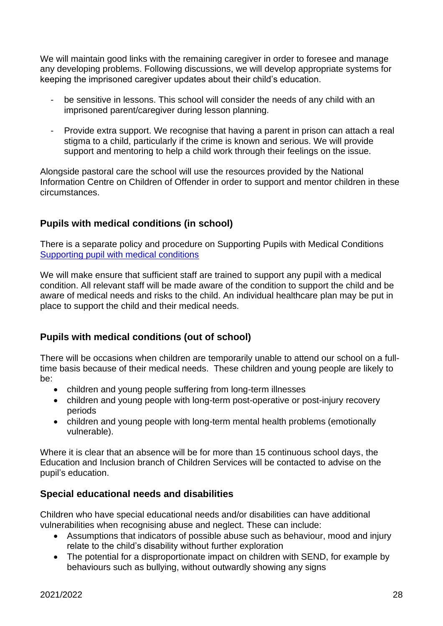We will maintain good links with the remaining caregiver in order to foresee and manage any developing problems. Following discussions, we will develop appropriate systems for keeping the imprisoned caregiver updates about their child's education.

- be sensitive in lessons. This school will consider the needs of any child with an imprisoned parent/caregiver during lesson planning.
- Provide extra support. We recognise that having a parent in prison can attach a real stigma to a child, particularly if the crime is known and serious. We will provide support and mentoring to help a child work through their feelings on the issue.

Alongside pastoral care the school will use the resources provided by the National Information Centre on Children of Offender in order to support and mentor children in these circumstances.

# <span id="page-27-0"></span>**Pupils with medical conditions (in school)**

There is a separate policy and procedure on Supporting Pupils with Medical Conditions [Supporting pupil with medical conditions](https://www.wolverdene.hants.sch.uk/wp-content/uploads/2021/09/Supporting-pupil-with-medical-conditions-2021.pdf)

We will make ensure that sufficient staff are trained to support any pupil with a medical condition. All relevant staff will be made aware of the condition to support the child and be aware of medical needs and risks to the child. An individual healthcare plan may be put in place to support the child and their medical needs.

# <span id="page-27-1"></span>**Pupils with medical conditions (out of school)**

There will be occasions when children are temporarily unable to attend our school on a fulltime basis because of their medical needs. These children and young people are likely to be:

- children and young people suffering from long-term illnesses
- children and young people with long-term post-operative or post-injury recovery periods
- children and young people with long-term mental health problems (emotionally vulnerable).

Where it is clear that an absence will be for more than 15 continuous school days, the Education and Inclusion branch of Children Services will be contacted to advise on the pupil's education.

# <span id="page-27-2"></span>**Special educational needs and disabilities**

Children who have special educational needs and/or disabilities can have additional vulnerabilities when recognising abuse and neglect. These can include:

- Assumptions that indicators of possible abuse such as behaviour, mood and injury relate to the child's disability without further exploration
- The potential for a disproportionate impact on children with SEND, for example by behaviours such as bullying, without outwardly showing any signs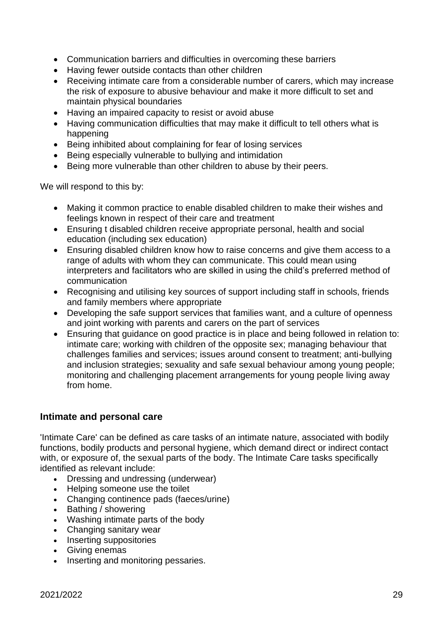- Communication barriers and difficulties in overcoming these barriers
- Having fewer outside contacts than other children
- Receiving intimate care from a considerable number of carers, which may increase the risk of exposure to abusive behaviour and make it more difficult to set and maintain physical boundaries
- Having an impaired capacity to resist or avoid abuse
- Having communication difficulties that may make it difficult to tell others what is happening
- Being inhibited about complaining for fear of losing services
- Being especially vulnerable to bullying and intimidation
- Being more vulnerable than other children to abuse by their peers.

We will respond to this by:

- Making it common practice to enable disabled children to make their wishes and feelings known in respect of their care and treatment
- Ensuring t disabled children receive appropriate personal, health and social education (including sex education)
- Ensuring disabled children know how to raise concerns and give them access to a range of adults with whom they can communicate. This could mean using interpreters and facilitators who are skilled in using the child's preferred method of communication
- Recognising and utilising key sources of support including staff in schools, friends and family members where appropriate
- Developing the safe support services that families want, and a culture of openness and joint working with parents and carers on the part of services
- Ensuring that guidance on good practice is in place and being followed in relation to: intimate care; working with children of the opposite sex; managing behaviour that challenges families and services; issues around consent to treatment; anti-bullying and inclusion strategies; sexuality and safe sexual behaviour among young people; monitoring and challenging placement arrangements for young people living away from home.

### <span id="page-28-0"></span>**Intimate and personal care**

'Intimate Care' can be defined as care tasks of an intimate nature, associated with bodily functions, bodily products and personal hygiene, which demand direct or indirect contact with, or exposure of, the sexual parts of the body. The Intimate Care tasks specifically identified as relevant include:

- Dressing and undressing (underwear)
- Helping someone use the toilet
- Changing continence pads (faeces/urine)
- Bathing / showering
- Washing intimate parts of the body
- Changing sanitary wear
- Inserting suppositories
- Giving enemas
- Inserting and monitoring pessaries.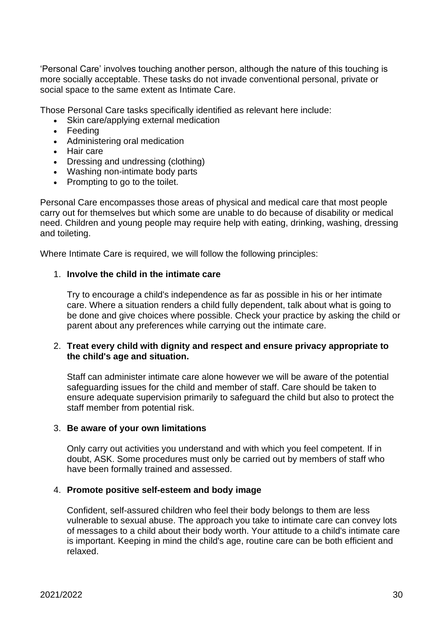'Personal Care' involves touching another person, although the nature of this touching is more socially acceptable. These tasks do not invade conventional personal, private or social space to the same extent as Intimate Care.

Those Personal Care tasks specifically identified as relevant here include:

- Skin care/applying external medication
- Feeding
- Administering oral medication
- Hair care
- Dressing and undressing (clothing)
- Washing non-intimate body parts
- Prompting to go to the toilet.

Personal Care encompasses those areas of physical and medical care that most people carry out for themselves but which some are unable to do because of disability or medical need. Children and young people may require help with eating, drinking, washing, dressing and toileting.

Where Intimate Care is required, we will follow the following principles:

#### 1. **Involve the child in the intimate care**

Try to encourage a child's independence as far as possible in his or her intimate care. Where a situation renders a child fully dependent, talk about what is going to be done and give choices where possible. Check your practice by asking the child or parent about any preferences while carrying out the intimate care.

#### 2. **Treat every child with dignity and respect and ensure privacy appropriate to the child's age and situation.**

Staff can administer intimate care alone however we will be aware of the potential safeguarding issues for the child and member of staff. Care should be taken to ensure adequate supervision primarily to safeguard the child but also to protect the staff member from potential risk.

#### 3. **Be aware of your own limitations**

Only carry out activities you understand and with which you feel competent. If in doubt, ASK. Some procedures must only be carried out by members of staff who have been formally trained and assessed.

#### 4. **Promote positive self-esteem and body image**

Confident, self-assured children who feel their body belongs to them are less vulnerable to sexual abuse. The approach you take to intimate care can convey lots of messages to a child about their body worth. Your attitude to a child's intimate care is important. Keeping in mind the child's age, routine care can be both efficient and relaxed.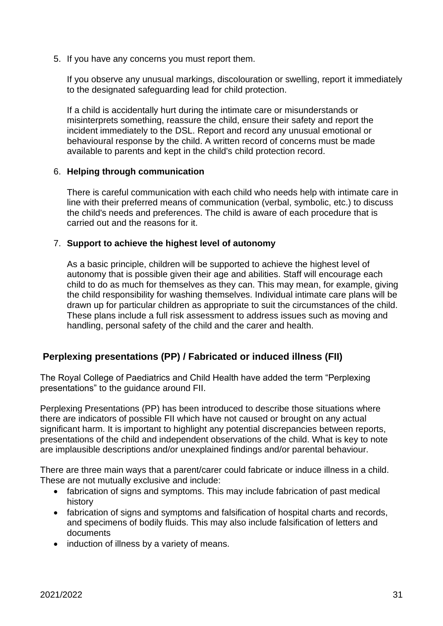5. If you have any concerns you must report them.

If you observe any unusual markings, discolouration or swelling, report it immediately to the designated safeguarding lead for child protection.

If a child is accidentally hurt during the intimate care or misunderstands or misinterprets something, reassure the child, ensure their safety and report the incident immediately to the DSL. Report and record any unusual emotional or behavioural response by the child. A written record of concerns must be made available to parents and kept in the child's child protection record.

#### 6. **Helping through communication**

There is careful communication with each child who needs help with intimate care in line with their preferred means of communication (verbal, symbolic, etc.) to discuss the child's needs and preferences. The child is aware of each procedure that is carried out and the reasons for it.

#### 7. **Support to achieve the highest level of autonomy**

As a basic principle, children will be supported to achieve the highest level of autonomy that is possible given their age and abilities. Staff will encourage each child to do as much for themselves as they can. This may mean, for example, giving the child responsibility for washing themselves. Individual intimate care plans will be drawn up for particular children as appropriate to suit the circumstances of the child. These plans include a full risk assessment to address issues such as moving and handling, personal safety of the child and the carer and health.

### <span id="page-30-0"></span>**Perplexing presentations (PP) / Fabricated or induced illness (FII)**

The Royal College of Paediatrics and Child Health have added the term "Perplexing presentations" to the guidance around FII.

Perplexing Presentations (PP) has been introduced to describe those situations where there are indicators of possible FII which have not caused or brought on any actual significant harm. It is important to highlight any potential discrepancies between reports, presentations of the child and independent observations of the child. What is key to note are implausible descriptions and/or unexplained findings and/or parental behaviour.

There are three main ways that a parent/carer could fabricate or induce illness in a child. These are not mutually exclusive and include:

- fabrication of signs and symptoms. This may include fabrication of past medical history
- fabrication of signs and symptoms and falsification of hospital charts and records, and specimens of bodily fluids. This may also include falsification of letters and documents
- induction of illness by a variety of means.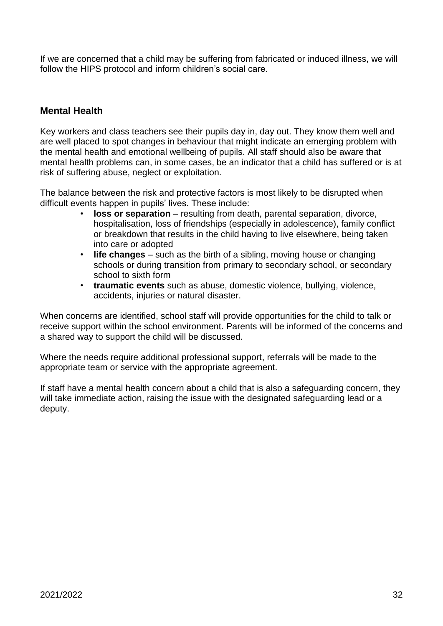If we are concerned that a child may be suffering from fabricated or induced illness, we will follow the HIPS protocol and inform children's social care.

### <span id="page-31-0"></span>**Mental Health**

Key workers and class teachers see their pupils day in, day out. They know them well and are well placed to spot changes in behaviour that might indicate an emerging problem with the mental health and emotional wellbeing of pupils. All staff should also be aware that mental health problems can, in some cases, be an indicator that a child has suffered or is at risk of suffering abuse, neglect or exploitation.

The balance between the risk and protective factors is most likely to be disrupted when difficult events happen in pupils' lives. These include:

- **loss or separation**  resulting from death, parental separation, divorce, hospitalisation, loss of friendships (especially in adolescence), family conflict or breakdown that results in the child having to live elsewhere, being taken into care or adopted
- **life changes**  such as the birth of a sibling, moving house or changing schools or during transition from primary to secondary school, or secondary school to sixth form
- **traumatic events** such as abuse, domestic violence, bullying, violence, accidents, injuries or natural disaster.

When concerns are identified, school staff will provide opportunities for the child to talk or receive support within the school environment. Parents will be informed of the concerns and a shared way to support the child will be discussed.

Where the needs require additional professional support, referrals will be made to the appropriate team or service with the appropriate agreement.

If staff have a mental health concern about a child that is also a safeguarding concern, they will take immediate action, raising the issue with the designated safeguarding lead or a deputy.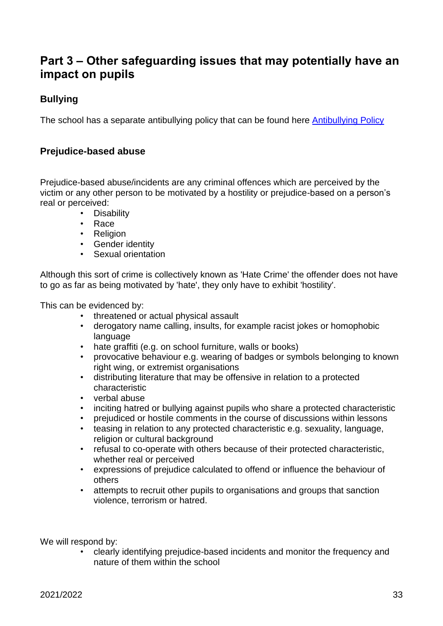# <span id="page-32-0"></span>**Part 3 – Other safeguarding issues that may potentially have an impact on pupils**

# <span id="page-32-1"></span>**Bullying**

The school has a separate antibullying policy that can be found here [Antibullying Policy](https://www.wolverdene.hants.sch.uk/wp-content/uploads/2021/02/Antibullying-Policy-2020.pdf)

### **Prejudice-based abuse**

Prejudice-based abuse/incidents are any criminal offences which are perceived by the victim or any other person to be motivated by a hostility or prejudice-based on a person's real or perceived:

- <span id="page-32-2"></span>• Disability
- Race
- Religion
- Gender identity
- Sexual orientation

Although this sort of crime is collectively known as 'Hate Crime' the offender does not have to go as far as being motivated by 'hate', they only have to exhibit 'hostility'.

This can be evidenced by:

- threatened or actual physical assault
- derogatory name calling, insults, for example racist jokes or homophobic language
- hate graffiti (e.g. on school furniture, walls or books)
- provocative behaviour e.g. wearing of badges or symbols belonging to known right wing, or extremist organisations
- distributing literature that may be offensive in relation to a protected characteristic
- verbal abuse
- inciting hatred or bullying against pupils who share a protected characteristic
- prejudiced or hostile comments in the course of discussions within lessons
- teasing in relation to any protected characteristic e.g. sexuality, language, religion or cultural background
- refusal to co-operate with others because of their protected characteristic, whether real or perceived
- expressions of prejudice calculated to offend or influence the behaviour of others
- attempts to recruit other pupils to organisations and groups that sanction violence, terrorism or hatred.

We will respond by:

• clearly identifying prejudice-based incidents and monitor the frequency and nature of them within the school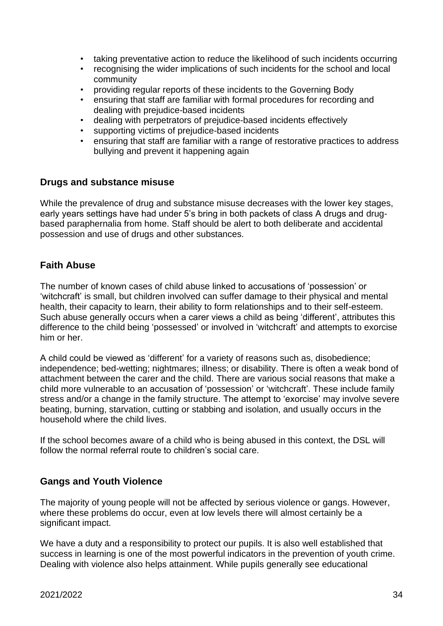- taking preventative action to reduce the likelihood of such incidents occurring
- recognising the wider implications of such incidents for the school and local community
- providing regular reports of these incidents to the Governing Body
- ensuring that staff are familiar with formal procedures for recording and dealing with prejudice-based incidents
- dealing with perpetrators of prejudice-based incidents effectively
- supporting victims of prejudice-based incidents
- ensuring that staff are familiar with a range of restorative practices to address bullying and prevent it happening again

#### <span id="page-33-0"></span>**Drugs and substance misuse**

While the prevalence of drug and substance misuse decreases with the lower key stages, early years settings have had under 5's bring in both packets of class A drugs and drugbased paraphernalia from home. Staff should be alert to both deliberate and accidental possession and use of drugs and other substances.

#### <span id="page-33-1"></span>**Faith Abuse**

The number of known cases of child abuse linked to accusations of 'possession' or 'witchcraft' is small, but children involved can suffer damage to their physical and mental health, their capacity to learn, their ability to form relationships and to their self-esteem. Such abuse generally occurs when a carer views a child as being 'different', attributes this difference to the child being 'possessed' or involved in 'witchcraft' and attempts to exorcise him or her.

A child could be viewed as 'different' for a variety of reasons such as, disobedience; independence; bed-wetting; nightmares; illness; or disability. There is often a weak bond of attachment between the carer and the child. There are various social reasons that make a child more vulnerable to an accusation of 'possession' or 'witchcraft'. These include family stress and/or a change in the family structure. The attempt to 'exorcise' may involve severe beating, burning, starvation, cutting or stabbing and isolation, and usually occurs in the household where the child lives.

If the school becomes aware of a child who is being abused in this context, the DSL will follow the normal referral route to children's social care.

### <span id="page-33-2"></span>**Gangs and Youth Violence**

The majority of young people will not be affected by serious violence or gangs. However, where these problems do occur, even at low levels there will almost certainly be a significant impact.

We have a duty and a responsibility to protect our pupils. It is also well established that success in learning is one of the most powerful indicators in the prevention of youth crime. Dealing with violence also helps attainment. While pupils generally see educational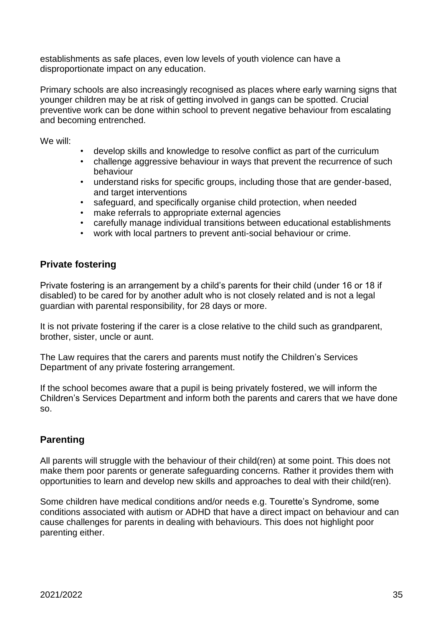establishments as safe places, even low levels of youth violence can have a disproportionate impact on any education.

Primary schools are also increasingly recognised as places where early warning signs that younger children may be at risk of getting involved in gangs can be spotted. Crucial preventive work can be done within school to prevent negative behaviour from escalating and becoming entrenched.

We will:

- develop skills and knowledge to resolve conflict as part of the curriculum
- challenge aggressive behaviour in ways that prevent the recurrence of such behaviour
- understand risks for specific groups, including those that are gender-based, and target interventions
- safeguard, and specifically organise child protection, when needed
- make referrals to appropriate external agencies
- carefully manage individual transitions between educational establishments
- work with local partners to prevent anti-social behaviour or crime.

### <span id="page-34-0"></span>**Private fostering**

Private fostering is an arrangement by a child's parents for their child (under 16 or 18 if disabled) to be cared for by another adult who is not closely related and is not a legal guardian with parental responsibility, for 28 days or more.

It is not private fostering if the carer is a close relative to the child such as grandparent, brother, sister, uncle or aunt.

The Law requires that the carers and parents must notify the Children's Services Department of any private fostering arrangement.

If the school becomes aware that a pupil is being privately fostered, we will inform the Children's Services Department and inform both the parents and carers that we have done so.

# <span id="page-34-1"></span>**Parenting**

All parents will struggle with the behaviour of their child(ren) at some point. This does not make them poor parents or generate safeguarding concerns. Rather it provides them with opportunities to learn and develop new skills and approaches to deal with their child(ren).

Some children have medical conditions and/or needs e.g. Tourette's Syndrome, some conditions associated with autism or ADHD that have a direct impact on behaviour and can cause challenges for parents in dealing with behaviours. This does not highlight poor parenting either.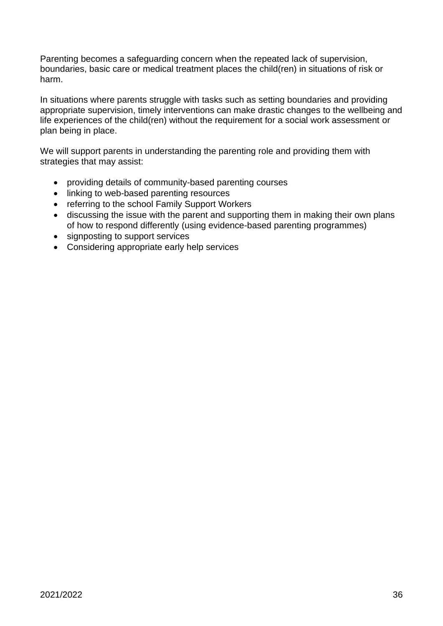Parenting becomes a safeguarding concern when the repeated lack of supervision, boundaries, basic care or medical treatment places the child(ren) in situations of risk or harm.

In situations where parents struggle with tasks such as setting boundaries and providing appropriate supervision, timely interventions can make drastic changes to the wellbeing and life experiences of the child(ren) without the requirement for a social work assessment or plan being in place.

We will support parents in understanding the parenting role and providing them with strategies that may assist:

- providing details of community-based parenting courses
- linking to web-based parenting resources
- referring to the school Family Support Workers
- discussing the issue with the parent and supporting them in making their own plans of how to respond differently (using evidence-based parenting programmes)
- signposting to support services
- Considering appropriate early help services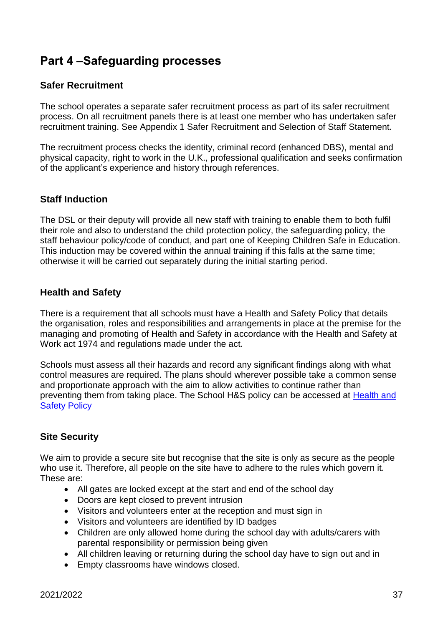# <span id="page-36-0"></span>**Part 4 –Safeguarding processes**

### <span id="page-36-1"></span>**Safer Recruitment**

The school operates a separate safer recruitment process as part of its safer recruitment process. On all recruitment panels there is at least one member who has undertaken safer recruitment training. See Appendix 1 Safer Recruitment and Selection of Staff Statement.

The recruitment process checks the identity, criminal record (enhanced DBS), mental and physical capacity, right to work in the U.K., professional qualification and seeks confirmation of the applicant's experience and history through references.

### <span id="page-36-2"></span>**Staff Induction**

The DSL or their deputy will provide all new staff with training to enable them to both fulfil their role and also to understand the child protection policy, the safeguarding policy, the staff behaviour policy/code of conduct, and part one of Keeping Children Safe in Education. This induction may be covered within the annual training if this falls at the same time; otherwise it will be carried out separately during the initial starting period.

### <span id="page-36-3"></span>**Health and Safety**

There is a requirement that all schools must have a Health and Safety Policy that details the organisation, roles and responsibilities and arrangements in place at the premise for the managing and promoting of Health and Safety in accordance with the Health and Safety at Work act 1974 and regulations made under the act.

Schools must assess all their hazards and record any significant findings along with what control measures are required. The plans should wherever possible take a common sense and proportionate approach with the aim to allow activities to continue rather than preventing them from taking place. The School H&S policy can be accessed at [Health and](https://www.wolverdene.hants.sch.uk/wp-content/uploads/2021/09/Health-and-Safety-Policy-2021.pdf)  [Safety Policy](https://www.wolverdene.hants.sch.uk/wp-content/uploads/2021/09/Health-and-Safety-Policy-2021.pdf)

### <span id="page-36-4"></span>**Site Security**

We aim to provide a secure site but recognise that the site is only as secure as the people who use it. Therefore, all people on the site have to adhere to the rules which govern it. These are:

- All gates are locked except at the start and end of the school day
- Doors are kept closed to prevent intrusion
- Visitors and volunteers enter at the reception and must sign in
- Visitors and volunteers are identified by ID badges
- Children are only allowed home during the school day with adults/carers with parental responsibility or permission being given
- All children leaving or returning during the school day have to sign out and in
- Empty classrooms have windows closed.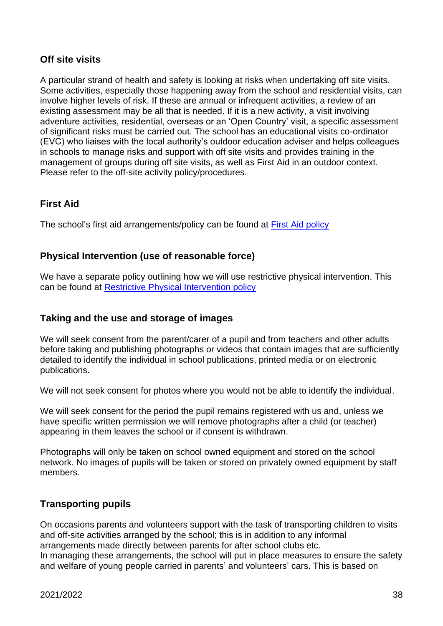## <span id="page-37-0"></span>**Off site visits**

A particular strand of health and safety is looking at risks when undertaking off site visits. Some activities, especially those happening away from the school and residential visits, can involve higher levels of risk. If these are annual or infrequent activities, a review of an existing assessment may be all that is needed. If it is a new activity, a visit involving adventure activities, residential, overseas or an 'Open Country' visit, a specific assessment of significant risks must be carried out. The school has an educational visits co-ordinator (EVC) who liaises with the local authority's outdoor education adviser and helps colleagues in schools to manage risks and support with off site visits and provides training in the management of groups during off site visits, as well as First Aid in an outdoor context. Please refer to the off-site activity policy/procedures.

### <span id="page-37-1"></span>**First Aid**

The school's first aid arrangements/policy can be found at [First Aid policy](https://www.wolverdene.hants.sch.uk/wp-content/uploads/2021/09/First-Aid-policy-2021.pdf)

### <span id="page-37-2"></span>**Physical Intervention (use of reasonable force)**

We have a separate policy outlining how we will use restrictive physical intervention. This can be found at [Restrictive Physical Intervention policy](https://www.wolverdene.hants.sch.uk/wp-content/uploads/2021/09/Restrictive-Physical-Intervention-policy-March-21.pdf)

### <span id="page-37-3"></span>**Taking and the use and storage of images**

We will seek consent from the parent/carer of a pupil and from teachers and other adults before taking and publishing photographs or videos that contain images that are sufficiently detailed to identify the individual in school publications, printed media or on electronic publications.

We will not seek consent for photos where you would not be able to identify the individual.

We will seek consent for the period the pupil remains registered with us and, unless we have specific written permission we will remove photographs after a child (or teacher) appearing in them leaves the school or if consent is withdrawn.

Photographs will only be taken on school owned equipment and stored on the school network. No images of pupils will be taken or stored on privately owned equipment by staff members.

# <span id="page-37-4"></span>**Transporting pupils**

On occasions parents and volunteers support with the task of transporting children to visits and off-site activities arranged by the school; this is in addition to any informal arrangements made directly between parents for after school clubs etc. In managing these arrangements, the school will put in place measures to ensure the safety and welfare of young people carried in parents' and volunteers' cars. This is based on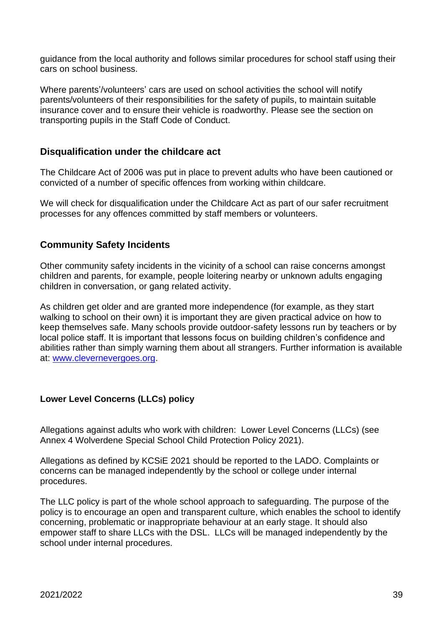guidance from the local authority and follows similar procedures for school staff using their cars on school business.

Where parents'/volunteers' cars are used on school activities the school will notify parents/volunteers of their responsibilities for the safety of pupils, to maintain suitable insurance cover and to ensure their vehicle is roadworthy. Please see the section on transporting pupils in the Staff Code of Conduct.

### <span id="page-38-0"></span>**Disqualification under the childcare act**

The Childcare Act of 2006 was put in place to prevent adults who have been cautioned or convicted of a number of specific offences from working within childcare.

We will check for disqualification under the Childcare Act as part of our safer recruitment processes for any offences committed by staff members or volunteers.

### <span id="page-38-1"></span>**Community Safety Incidents**

Other community safety incidents in the vicinity of a school can raise concerns amongst children and parents, for example, people loitering nearby or unknown adults engaging children in conversation, or gang related activity.

As children get older and are granted more independence (for example, as they start walking to school on their own) it is important they are given practical advice on how to keep themselves safe. Many schools provide outdoor-safety lessons run by teachers or by local police staff. It is important that lessons focus on building children's confidence and abilities rather than simply warning them about all strangers. Further information is available at: [www.clevernevergoes.org.](http://www.clevernevergoes.org/)

### **Lower Level Concerns (LLCs) policy**

Allegations against adults who work with children: Lower Level Concerns (LLCs) (see Annex 4 Wolverdene Special School Child Protection Policy 2021).

Allegations as defined by KCSiE 2021 should be reported to the LADO. Complaints or concerns can be managed independently by the school or college under internal procedures.

The LLC policy is part of the whole school approach to safeguarding. The purpose of the policy is to encourage an open and transparent culture, which enables the school to identify concerning, problematic or inappropriate behaviour at an early stage. It should also empower staff to share LLCs with the DSL. LLCs will be managed independently by the school under internal procedures.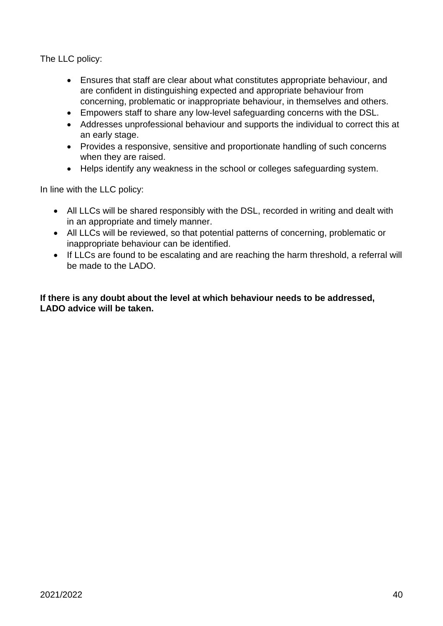The LLC policy:

- Ensures that staff are clear about what constitutes appropriate behaviour, and are confident in distinguishing expected and appropriate behaviour from concerning, problematic or inappropriate behaviour, in themselves and others.
- Empowers staff to share any low-level safeguarding concerns with the DSL.
- Addresses unprofessional behaviour and supports the individual to correct this at an early stage.
- Provides a responsive, sensitive and proportionate handling of such concerns when they are raised.
- Helps identify any weakness in the school or colleges safeguarding system.

In line with the LLC policy:

- All LLCs will be shared responsibly with the DSL, recorded in writing and dealt with in an appropriate and timely manner.
- All LLCs will be reviewed, so that potential patterns of concerning, problematic or inappropriate behaviour can be identified.
- If LLCs are found to be escalating and are reaching the harm threshold, a referral will be made to the LADO.

#### **If there is any doubt about the level at which behaviour needs to be addressed, LADO advice will be taken.**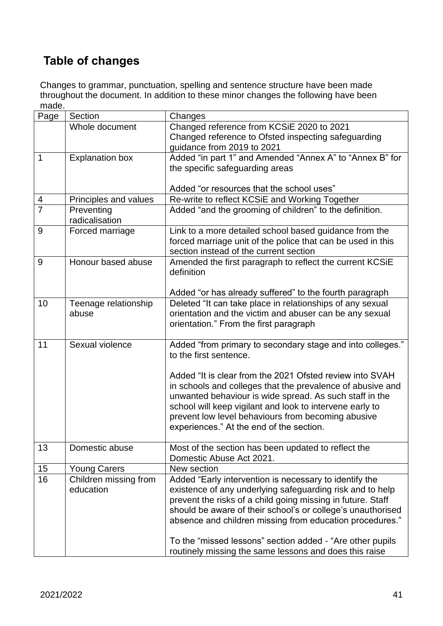# <span id="page-40-0"></span>**Table of changes**

Changes to grammar, punctuation, spelling and sentence structure have been made throughout the document. In addition to these minor changes the following have been made.

| Page           | Section                       | Changes                                                                                           |
|----------------|-------------------------------|---------------------------------------------------------------------------------------------------|
|                | Whole document                | Changed reference from KCSiE 2020 to 2021                                                         |
|                |                               | Changed reference to Ofsted inspecting safeguarding                                               |
|                |                               | guidance from 2019 to 2021                                                                        |
| $\mathbf 1$    | <b>Explanation box</b>        | Added "in part 1" and Amended "Annex A" to "Annex B" for                                          |
|                |                               | the specific safeguarding areas                                                                   |
|                |                               |                                                                                                   |
|                |                               | Added "or resources that the school uses"                                                         |
| 4              | Principles and values         | Re-write to reflect KCSiE and Working Together                                                    |
| $\overline{7}$ | Preventing<br>radicalisation  | Added "and the grooming of children" to the definition.                                           |
| 9              | Forced marriage               | Link to a more detailed school based guidance from the                                            |
|                |                               | forced marriage unit of the police that can be used in this                                       |
|                |                               | section instead of the current section                                                            |
| 9              | Honour based abuse            | Amended the first paragraph to reflect the current KCSiE                                          |
|                |                               | definition                                                                                        |
|                |                               |                                                                                                   |
|                |                               | Added "or has already suffered" to the fourth paragraph                                           |
| 10             | Teenage relationship<br>abuse | Deleted "It can take place in relationships of any sexual                                         |
|                |                               | orientation and the victim and abuser can be any sexual<br>orientation." From the first paragraph |
|                |                               |                                                                                                   |
| 11             | Sexual violence               | Added "from primary to secondary stage and into colleges."                                        |
|                |                               | to the first sentence.                                                                            |
|                |                               |                                                                                                   |
|                |                               | Added "It is clear from the 2021 Ofsted review into SVAH                                          |
|                |                               | in schools and colleges that the prevalence of abusive and                                        |
|                |                               | unwanted behaviour is wide spread. As such staff in the                                           |
|                |                               | school will keep vigilant and look to intervene early to                                          |
|                |                               | prevent low level behaviours from becoming abusive                                                |
|                |                               | experiences." At the end of the section.                                                          |
| 13             | Domestic abuse                | Most of the section has been updated to reflect the                                               |
|                |                               | Domestic Abuse Act 2021.                                                                          |
| 15             | <b>Young Carers</b>           | New section                                                                                       |
| 16             | Children missing from         | Added "Early intervention is necessary to identify the                                            |
|                | education                     | existence of any underlying safeguarding risk and to help                                         |
|                |                               | prevent the risks of a child going missing in future. Staff                                       |
|                |                               | should be aware of their school's or college's unauthorised                                       |
|                |                               | absence and children missing from education procedures."                                          |
|                |                               |                                                                                                   |
|                |                               | To the "missed lessons" section added - "Are other pupils"                                        |
|                |                               | routinely missing the same lessons and does this raise                                            |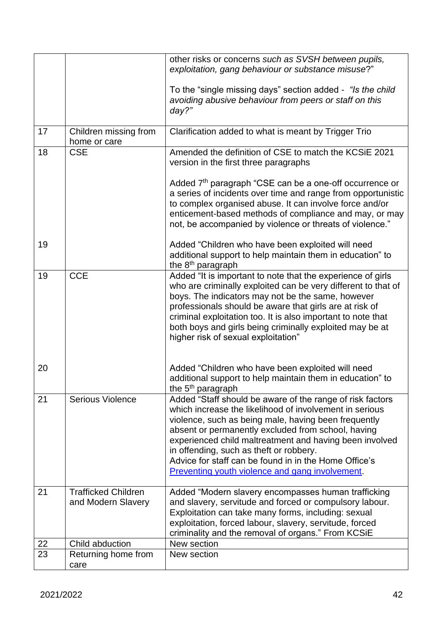|    |                                                  | other risks or concerns such as SVSH between pupils,<br>exploitation, gang behaviour or substance misuse?"                                                                                                                                                                                                                                                                                                                                           |
|----|--------------------------------------------------|------------------------------------------------------------------------------------------------------------------------------------------------------------------------------------------------------------------------------------------------------------------------------------------------------------------------------------------------------------------------------------------------------------------------------------------------------|
|    |                                                  | To the "single missing days" section added - "Is the child<br>avoiding abusive behaviour from peers or staff on this<br>day?"                                                                                                                                                                                                                                                                                                                        |
| 17 | Children missing from<br>home or care            | Clarification added to what is meant by Trigger Trio                                                                                                                                                                                                                                                                                                                                                                                                 |
| 18 | <b>CSE</b>                                       | Amended the definition of CSE to match the KCSIE 2021<br>version in the first three paragraphs                                                                                                                                                                                                                                                                                                                                                       |
|    |                                                  | Added 7 <sup>th</sup> paragraph "CSE can be a one-off occurrence or<br>a series of incidents over time and range from opportunistic<br>to complex organised abuse. It can involve force and/or<br>enticement-based methods of compliance and may, or may<br>not, be accompanied by violence or threats of violence."                                                                                                                                 |
| 19 |                                                  | Added "Children who have been exploited will need<br>additional support to help maintain them in education" to<br>the 8 <sup>th</sup> paragraph                                                                                                                                                                                                                                                                                                      |
| 19 | <b>CCE</b>                                       | Added "It is important to note that the experience of girls<br>who are criminally exploited can be very different to that of<br>boys. The indicators may not be the same, however<br>professionals should be aware that girls are at risk of<br>criminal exploitation too. It is also important to note that<br>both boys and girls being criminally exploited may be at<br>higher risk of sexual exploitation"                                      |
| 20 |                                                  | Added "Children who have been exploited will need<br>additional support to help maintain them in education" to<br>the 5 <sup>th</sup> paragraph                                                                                                                                                                                                                                                                                                      |
| 21 | <b>Serious Violence</b>                          | Added "Staff should be aware of the range of risk factors<br>which increase the likelihood of involvement in serious<br>violence, such as being male, having been frequently<br>absent or permanently excluded from school, having<br>experienced child maltreatment and having been involved<br>in offending, such as theft or robbery.<br>Advice for staff can be found in in the Home Office's<br>Preventing youth violence and gang involvement. |
| 21 | <b>Trafficked Children</b><br>and Modern Slavery | Added "Modern slavery encompasses human trafficking<br>and slavery, servitude and forced or compulsory labour.<br>Exploitation can take many forms, including: sexual<br>exploitation, forced labour, slavery, servitude, forced<br>criminality and the removal of organs." From KCSiE                                                                                                                                                               |
| 22 | Child abduction                                  | New section                                                                                                                                                                                                                                                                                                                                                                                                                                          |
| 23 | Returning home from<br>care                      | New section                                                                                                                                                                                                                                                                                                                                                                                                                                          |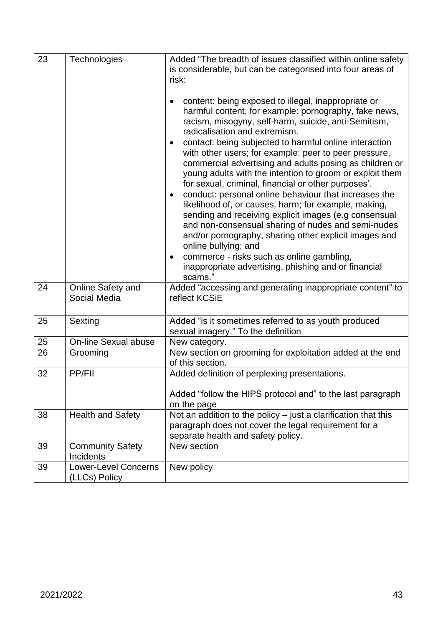| 23 | Technologies                                 | Added "The breadth of issues classified within online safety<br>is considerable, but can be categorised into four areas of<br>risk:                                                                                                                                                                                                                                                                                                                                                                                                                                                                                                                                                                                                                                                                                                                                                                                                                                    |
|----|----------------------------------------------|------------------------------------------------------------------------------------------------------------------------------------------------------------------------------------------------------------------------------------------------------------------------------------------------------------------------------------------------------------------------------------------------------------------------------------------------------------------------------------------------------------------------------------------------------------------------------------------------------------------------------------------------------------------------------------------------------------------------------------------------------------------------------------------------------------------------------------------------------------------------------------------------------------------------------------------------------------------------|
|    |                                              | content: being exposed to illegal, inappropriate or<br>harmful content, for example: pornography, fake news,<br>racism, misogyny, self-harm, suicide, anti-Semitism,<br>radicalisation and extremism.<br>contact: being subjected to harmful online interaction<br>٠<br>with other users; for example: peer to peer pressure,<br>commercial advertising and adults posing as children or<br>young adults with the intention to groom or exploit them<br>for sexual, criminal, financial or other purposes'.<br>conduct: personal online behaviour that increases the<br>$\bullet$<br>likelihood of, or causes, harm; for example, making,<br>sending and receiving explicit images (e.g consensual<br>and non-consensual sharing of nudes and semi-nudes<br>and/or pornography, sharing other explicit images and<br>online bullying; and<br>commerce - risks such as online gambling,<br>$\bullet$<br>inappropriate advertising, phishing and or financial<br>scams." |
| 24 | Online Safety and<br>Social Media            | Added "accessing and generating inappropriate content" to<br>reflect KCSiE                                                                                                                                                                                                                                                                                                                                                                                                                                                                                                                                                                                                                                                                                                                                                                                                                                                                                             |
| 25 | Sexting                                      | Added "is it sometimes referred to as youth produced<br>sexual imagery." To the definition                                                                                                                                                                                                                                                                                                                                                                                                                                                                                                                                                                                                                                                                                                                                                                                                                                                                             |
| 25 | On-line Sexual abuse                         | New category.                                                                                                                                                                                                                                                                                                                                                                                                                                                                                                                                                                                                                                                                                                                                                                                                                                                                                                                                                          |
| 26 | Grooming                                     | New section on grooming for exploitation added at the end<br>of this section.                                                                                                                                                                                                                                                                                                                                                                                                                                                                                                                                                                                                                                                                                                                                                                                                                                                                                          |
| 32 | <b>PP/FII</b>                                | Added definition of perplexing presentations.<br>Added "follow the HIPS protocol and" to the last paragraph<br>on the page                                                                                                                                                                                                                                                                                                                                                                                                                                                                                                                                                                                                                                                                                                                                                                                                                                             |
| 38 | <b>Health and Safety</b>                     | Not an addition to the policy $-$ just a clarification that this<br>paragraph does not cover the legal requirement for a<br>separate health and safety policy.                                                                                                                                                                                                                                                                                                                                                                                                                                                                                                                                                                                                                                                                                                                                                                                                         |
| 39 | <b>Community Safety</b><br>Incidents         | New section                                                                                                                                                                                                                                                                                                                                                                                                                                                                                                                                                                                                                                                                                                                                                                                                                                                                                                                                                            |
| 39 | <b>Lower-Level Concerns</b><br>(LLCs) Policy | New policy                                                                                                                                                                                                                                                                                                                                                                                                                                                                                                                                                                                                                                                                                                                                                                                                                                                                                                                                                             |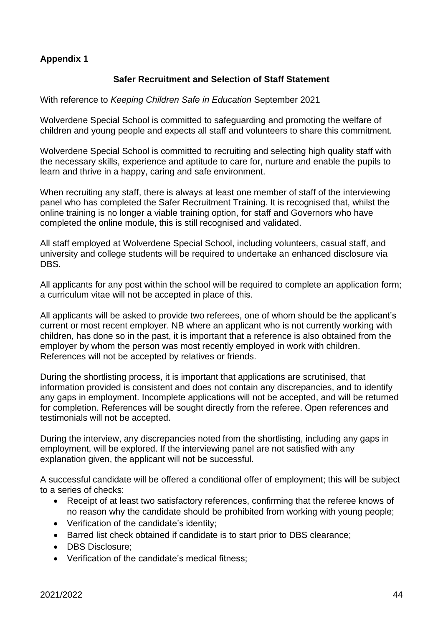## **Appendix 1**

#### **Safer Recruitment and Selection of Staff Statement**

With reference to *Keeping Children Safe in Education* September 2021

Wolverdene Special School is committed to safeguarding and promoting the welfare of children and young people and expects all staff and volunteers to share this commitment.

Wolverdene Special School is committed to recruiting and selecting high quality staff with the necessary skills, experience and aptitude to care for, nurture and enable the pupils to learn and thrive in a happy, caring and safe environment.

When recruiting any staff, there is always at least one member of staff of the interviewing panel who has completed the Safer Recruitment Training. It is recognised that, whilst the online training is no longer a viable training option, for staff and Governors who have completed the online module, this is still recognised and validated.

All staff employed at Wolverdene Special School, including volunteers, casual staff, and university and college students will be required to undertake an enhanced disclosure via DBS.

All applicants for any post within the school will be required to complete an application form; a curriculum vitae will not be accepted in place of this.

All applicants will be asked to provide two referees, one of whom should be the applicant's current or most recent employer. NB where an applicant who is not currently working with children, has done so in the past, it is important that a reference is also obtained from the employer by whom the person was most recently employed in work with children. References will not be accepted by relatives or friends.

During the shortlisting process, it is important that applications are scrutinised, that information provided is consistent and does not contain any discrepancies, and to identify any gaps in employment. Incomplete applications will not be accepted, and will be returned for completion. References will be sought directly from the referee. Open references and testimonials will not be accepted.

During the interview, any discrepancies noted from the shortlisting, including any gaps in employment, will be explored. If the interviewing panel are not satisfied with any explanation given, the applicant will not be successful.

A successful candidate will be offered a conditional offer of employment; this will be subject to a series of checks:

- Receipt of at least two satisfactory references, confirming that the referee knows of no reason why the candidate should be prohibited from working with young people;
- Verification of the candidate's identity;
- Barred list check obtained if candidate is to start prior to DBS clearance;
- DBS Disclosure:
- Verification of the candidate's medical fitness;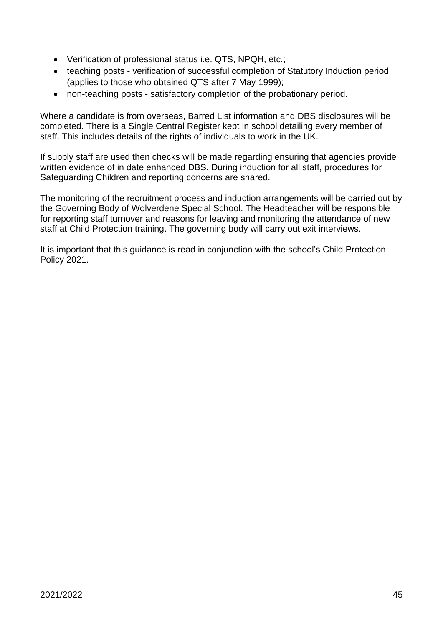- Verification of professional status i.e. QTS, NPQH, etc.;
- teaching posts verification of successful completion of Statutory Induction period (applies to those who obtained QTS after 7 May 1999);
- non-teaching posts satisfactory completion of the probationary period.

Where a candidate is from overseas, Barred List information and DBS disclosures will be completed. There is a Single Central Register kept in school detailing every member of staff. This includes details of the rights of individuals to work in the UK.

If supply staff are used then checks will be made regarding ensuring that agencies provide written evidence of in date enhanced DBS. During induction for all staff, procedures for Safeguarding Children and reporting concerns are shared.

The monitoring of the recruitment process and induction arrangements will be carried out by the Governing Body of Wolverdene Special School. The Headteacher will be responsible for reporting staff turnover and reasons for leaving and monitoring the attendance of new staff at Child Protection training. The governing body will carry out exit interviews.

It is important that this guidance is read in conjunction with the school's Child Protection Policy 2021.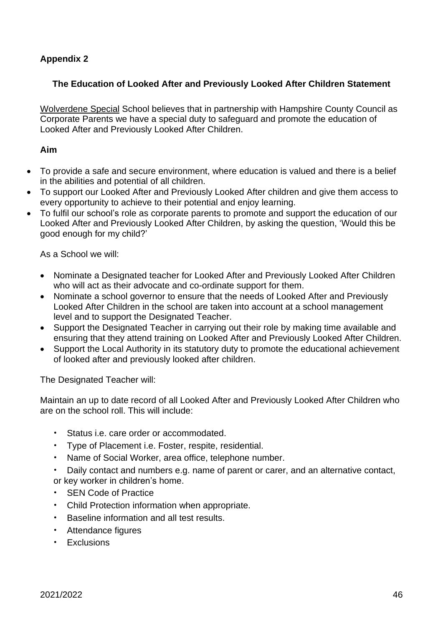# **Appendix 2**

#### **The Education of Looked After and Previously Looked After Children Statement**

Wolverdene Special School believes that in partnership with Hampshire County Council as Corporate Parents we have a special duty to safeguard and promote the education of Looked After and Previously Looked After Children.

#### **Aim**

- To provide a safe and secure environment, where education is valued and there is a belief in the abilities and potential of all children.
- To support our Looked After and Previously Looked After children and give them access to every opportunity to achieve to their potential and enjoy learning.
- To fulfil our school's role as corporate parents to promote and support the education of our Looked After and Previously Looked After Children, by asking the question, 'Would this be good enough for my child?'

As a School we will:

- Nominate a Designated teacher for Looked After and Previously Looked After Children who will act as their advocate and co-ordinate support for them.
- Nominate a school governor to ensure that the needs of Looked After and Previously Looked After Children in the school are taken into account at a school management level and to support the Designated Teacher.
- Support the Designated Teacher in carrying out their role by making time available and ensuring that they attend training on Looked After and Previously Looked After Children.
- Support the Local Authority in its statutory duty to promote the educational achievement of looked after and previously looked after children.

The Designated Teacher will:

Maintain an up to date record of all Looked After and Previously Looked After Children who are on the school roll. This will include:

- Status i.e. care order or accommodated.
- Type of Placement i.e. Foster, respite, residential.
- Name of Social Worker, area office, telephone number.
- Daily contact and numbers e.g. name of parent or carer, and an alternative contact, or key worker in children's home.
- SEN Code of Practice
- Child Protection information when appropriate.
- Baseline information and all test results.
- Attendance figures
- Exclusions